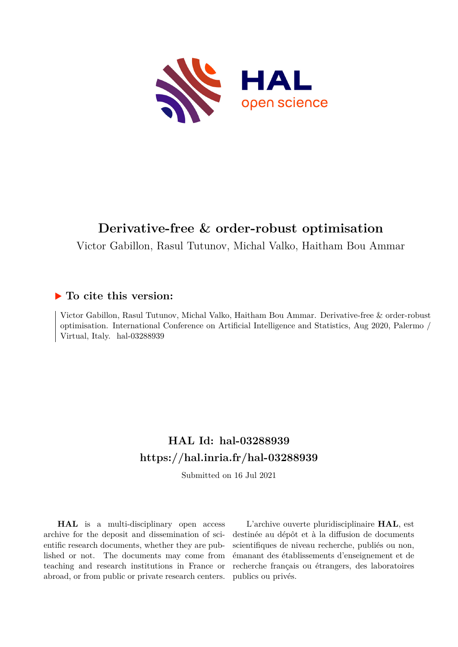

# **Derivative-free & order-robust optimisation**

Victor Gabillon, Rasul Tutunov, Michal Valko, Haitham Bou Ammar

# **To cite this version:**

Victor Gabillon, Rasul Tutunov, Michal Valko, Haitham Bou Ammar. Derivative-free & order-robust optimisation. International Conference on Artificial Intelligence and Statistics, Aug 2020, Palermo / Virtual, Italy. hal-03288939

# **HAL Id: hal-03288939 <https://hal.inria.fr/hal-03288939>**

Submitted on 16 Jul 2021

**HAL** is a multi-disciplinary open access archive for the deposit and dissemination of scientific research documents, whether they are published or not. The documents may come from teaching and research institutions in France or abroad, or from public or private research centers.

L'archive ouverte pluridisciplinaire **HAL**, est destinée au dépôt et à la diffusion de documents scientifiques de niveau recherche, publiés ou non, émanant des établissements d'enseignement et de recherche français ou étrangers, des laboratoires publics ou privés.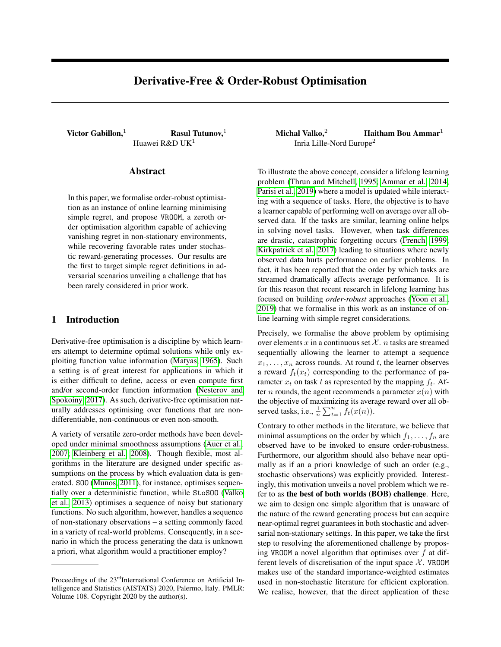# Derivative-Free & Order-Robust Optimisation

Huawei R&D UK<sup>1</sup>

# Abstract

In this paper, we formalise order-robust optimisation as an instance of online learning minimising simple regret, and propose VROOM, a zeroth order optimisation algorithm capable of achieving vanishing regret in non-stationary environments, while recovering favorable rates under stochastic reward-generating processes. Our results are the first to target simple regret definitions in adversarial scenarios unveiling a challenge that has been rarely considered in prior work.

# 1 Introduction

Derivative-free optimisation is a discipline by which learners attempt to determine optimal solutions while only exploiting function value information (Matyas, 1965). Such a setting is of great interest for applications in which it is either difficult to define, access or even compute first and/or second-order function information (Nesterov and Spokoiny, 2017). As such, derivative-free optimisation naturally addresses optimising over functions that are nondifferentiable, non-continuous or even non-smooth.

A variety of versatile zero-order methods have been developed under minimal smoothness assumptions (Auer et al., 2007; Kleinberg et al., 2008). Though flexible, most algorithms in the literature are designed under specific assumptions on the process by which evaluation data is generated. SOO (Munos, 2011), for instance, optimises sequentially over a deterministic function, while StoSOO (Valko et al., 2013) optimises a sequence of noisy but stationary functions. No such algorithm, however, handles a sequence of non-stationary observations – a setting commonly faced in a variety of real-world problems. Consequently, in a scenario in which the process generating the data is unknown a priori, what algorithm would a practitioner employ?

Victor Gabillon,<sup>1</sup> Rasul Tutunov,<sup>1</sup> Michal Valko,<sup>2</sup> Haitham Bou Ammar<sup>1</sup> Inria Lille-Nord Europe<sup>2</sup>

> To illustrate the above concept, consider a lifelong learning problem (Thrun and Mitchell, 1995; Ammar et al., 2014; Parisi et al., 2019) where a model is updated while interacting with a sequence of tasks. Here, the objective is to have a learner capable of performing well on average over all observed data. If the tasks are similar, learning online helps in solving novel tasks. However, when task differences are drastic, catastrophic forgetting occurs (French, 1999; Kirkpatrick et al., 2017) leading to situations where newly observed data hurts performance on earlier problems. In fact, it has been reported that the order by which tasks are streamed dramatically affects average performance. It is for this reason that recent research in lifelong learning has focused on building *order-robust* approaches (Yoon et al., 2019) that we formalise in this work as an instance of online learning with simple regret considerations.

> Precisely, we formalise the above problem by optimising over elements x in a continuous set  $\mathcal{X}$ . *n* tasks are streamed sequentially allowing the learner to attempt a sequence  $x_1, \ldots, x_n$  across rounds. At round t, the learner observes a reward  $f_t(x_t)$  corresponding to the performance of parameter  $x_t$  on task t as represented by the mapping  $f_t$ . After *n* rounds, the agent recommends a parameter  $x(n)$  with the objective of maximizing its average reward over all observed tasks, i.e.,  $\frac{1}{n} \sum_{t=1}^{n} f_t(x(n))$ .

> Contrary to other methods in the literature, we believe that minimal assumptions on the order by which  $f_1, \ldots, f_n$  are observed have to be invoked to ensure order-robustness. Furthermore, our algorithm should also behave near optimally as if an a priori knowledge of such an order (e.g., stochastic observations) was explicitly provided. Interestingly, this motivation unveils a novel problem which we refer to as the best of both worlds (BOB) challenge. Here, we aim to design one simple algorithm that is unaware of the nature of the reward generating process but can acquire near-optimal regret guarantees in both stochastic and adversarial non-stationary settings. In this paper, we take the first step to resolving the aforementioned challenge by proposing VROOM a novel algorithm that optimises over  $f$  at different levels of discretisation of the input space  $X$ . VROOM makes use of the standard importance-weighted estimates used in non-stochastic literature for efficient exploration. We realise, however, that the direct application of these

Proceedings of the 23<sup>rd</sup>International Conference on Artificial Intelligence and Statistics (AISTATS) 2020, Palermo, Italy. PMLR: Volume 108. Copyright 2020 by the author(s).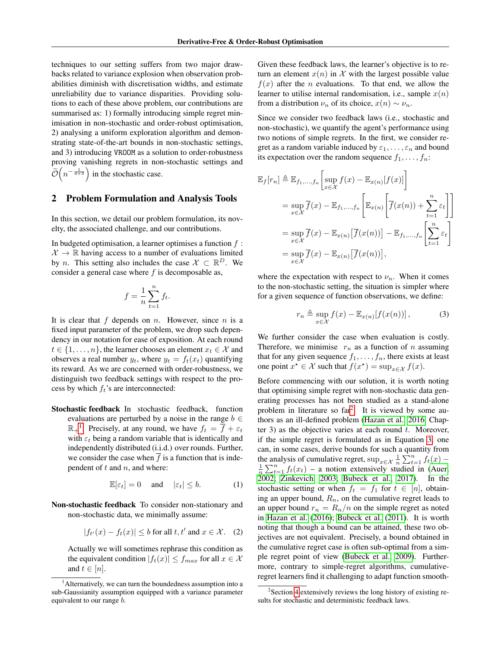techniques to our setting suffers from two major drawbacks related to variance explosion when observation probabilities diminish with discretisation widths, and estimate unreliability due to variance disparities. Providing solutions to each of these above problem, our contributions are summarised as: 1) formally introducing simple regret minimisation in non-stochastic and order-robust optimisation, 2) analysing a uniform exploration algorithm and demonstrating state-of-the-art bounds in non-stochastic settings, and 3) introducing VROOM as a solution to order-robustness proving vanishing regrets in non-stochastic settings and  $\tilde{\mathcal{O}}\left(n^{-\frac{1}{d+3}}\right)$  in the stochastic case.

## 2 Problem Formulation and Analysis Tools

In this section, we detail our problem formulation, its novelty, the associated challenge, and our contributions.

In budgeted optimisation, a learner optimises a function  $f$ :  $\mathcal{X} \to \mathbb{R}$  having access to a number of evaluations limited by *n*. This setting also includes the case  $X \subset \mathbb{R}^D$ . We consider a general case where  $f$  is decomposable as,

$$
f = \frac{1}{n} \sum_{t=1}^{n} f_t.
$$

It is clear that f depends on n. However, since n is a fixed input parameter of the problem, we drop such dependency in our notation for ease of exposition. At each round  $t \in \{1, \ldots, n\}$ , the learner chooses an element  $x_t \in \mathcal{X}$  and observes a real number  $y_t$ , where  $y_t = f_t(x_t)$  quantifying its reward. As we are concerned with order-robustness, we distinguish two feedback settings with respect to the process by which  $f_t$ 's are interconnected:

Stochastic feedback In stochastic feedback, function evaluations are perturbed by a noise in the range  $b \in$  $\mathbb{R}_{+}^{1}$ : Precisely, at any round, we have  $f_t = \overline{f} + \varepsilon_t$ with  $\varepsilon_t$  being a random variable that is identically and independently distributed (i.i.d.) over rounds. Further, we consider the case when  $\overline{f}$  is a function that is independent of  $t$  and  $n$ , and where:

$$
\mathbb{E}[\varepsilon_t] = 0 \quad \text{and} \quad |\varepsilon_t| \le b. \tag{1}
$$

Non-stochastic feedback To consider non-stationary and non-stochastic data, we minimally assume:

$$
|f_{t'}(x) - f_t(x)| \le b \text{ for all } t, t' \text{ and } x \in \mathcal{X}.
$$
 (2)

Actually we will sometimes rephrase this condition as the equivalent condition  $|f_t(x)| \leq f_{max}$  for all  $x \in \mathcal{X}$ and  $t \in [n]$ .

Given these feedback laws, the learner's objective is to return an element  $x(n)$  in X with the largest possible value  $f(x)$  after the *n* evaluations. To that end, we allow the learner to utilise internal randomisation, i.e., sample  $x(n)$ from a distribution  $\nu_n$  of its choice,  $x(n) \sim \nu_n$ .

Since we consider two feedback laws (i.e., stochastic and non-stochastic), we quantify the agent's performance using two notions of simple regrets. In the first, we consider regret as a random variable induced by  $\varepsilon_1, \ldots, \varepsilon_n$  and bound its expectation over the random sequence  $f_1, \ldots, f_n$ :

$$
\mathbb{E}_f[r_n] \triangleq \mathbb{E}_{f_1,\dots,f_n} \left[ \sup_{x \in \mathcal{X}} f(x) - \mathbb{E}_{x(n)}[f(x)] \right]
$$
  
\n
$$
= \sup_{x \in \mathcal{X}} \overline{f}(x) - \mathbb{E}_{f_1,\dots,f_n} \left[ \mathbb{E}_{x(n)} \left[ \overline{f}(x(n)) + \sum_{t=1}^n \varepsilon_t \right] \right]
$$
  
\n
$$
= \sup_{x \in \mathcal{X}} \overline{f}(x) - \mathbb{E}_{x(n)} \left[ \overline{f}(x(n)) \right] - \mathbb{E}_{f_1,\dots,f_n} \left[ \sum_{t=1}^n \varepsilon_t \right]
$$
  
\n
$$
= \sup_{x \in \mathcal{X}} \overline{f}(x) - \mathbb{E}_{x(n)} \left[ \overline{f}(x(n)) \right],
$$

where the expectation with respect to  $\nu_n$ . When it comes to the non-stochastic setting, the situation is simpler where for a given sequence of function observations, we define:

$$
r_n \triangleq \sup_{x \in \mathcal{X}} f(x) - \mathbb{E}_{x(n)}[f(x(n))], \tag{3}
$$

We further consider the case when evaluation is costly. Therefore, we minimise  $r_n$  as a function of n assuming that for any given sequence  $f_1, \ldots, f_n$ , there exists at least one point  $x^* \in \mathcal{X}$  such that  $f(x^*) = \sup_{x \in \mathcal{X}} f(x)$ .

Before commencing with our solution, it is worth noting that optimising simple regret with non-stochastic data generating processes has not been studied as a stand-alone problem in literature so far<sup>2</sup>. It is viewed by some authors as an ill-defined problem (Hazan et al., 2016, Chapter 3) as the objective varies at each round  $t$ . Moreover, if the simple regret is formulated as in Equation 3, one can, in some cases, derive bounds for such a quantity from the analysis of cumulative regret,  $\sup_{x \in \mathcal{X}} \frac{1}{n} \sum_{t=1}^{n} f_t(x) - \frac{1}{n} \sum_{t=1}^{n} f_t(x_t)$  – a notion extensively studied in (Auer, 2002; Zinkevich, 2003; Bubeck et al., 2017). In the stochastic setting or when  $f_t = f_1$  for  $t \in [n]$ , obtaining an upper bound,  $R_n$ , on the cumulative regret leads to an upper bound  $r_n = R_n/n$  on the simple regret as noted in Hazan et al. (2016); Bubeck et al. (2011). It is worth noting that though a bound can be attained, these two objectives are not equivalent. Precisely, a bound obtained in the cumulative regret case is often sub-optimal from a simple regret point of view (Bubeck et al., 2009). Furthermore, contrary to simple-regret algorithms, cumulativeregret learners find it challenging to adapt function smooth-

<sup>&</sup>lt;sup>1</sup> Alternatively, we can turn the boundedness assumption into a sub-Gaussianity assumption equipped with a variance parameter equivalent to our range b.

<sup>2</sup> Section 4 extensively reviews the long history of existing results for stochastic and deterministic feedback laws.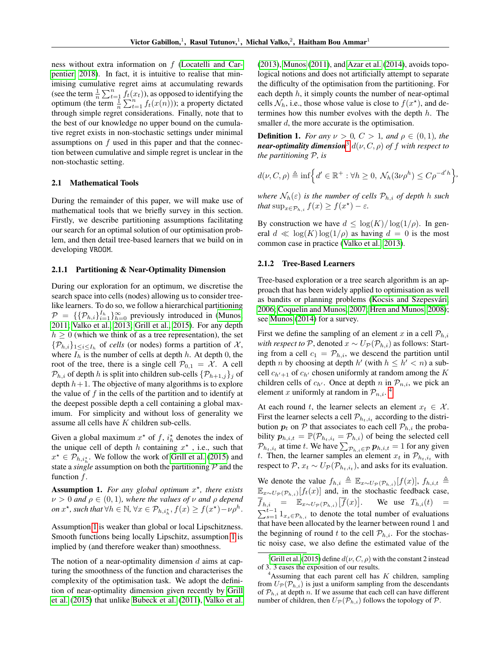ness without extra information on f (Locatelli and Carpentier, 2018). In fact, it is intuitive to realise that minimising cumulative regret aims at accumulating rewards (see the term  $\frac{1}{n} \sum_{t=1}^{n} \tilde{f}_t(x_t)$ ), as opposed to identifying the optimum (the term  $\frac{1}{n} \sum_{t=1}^{n} f_t(x(n))$ ); a property dictated through simple regret considerations. Finally, note that to the best of our knowledge no upper bound on the cumulative regret exists in non-stochastic settings under minimal assumptions on  $f$  used in this paper and that the connection between cumulative and simple regret is unclear in the non-stochastic setting.

#### 2.1 Mathematical Tools

During the remainder of this paper, we will make use of mathematical tools that we briefly survey in this section. Firstly, we describe partitioning assumptions facilitating our search for an optimal solution of our optimisation problem, and then detail tree-based learners that we build on in developing VROOM.

#### 2.1.1 Partitioning & Near-Optimality Dimension

During our exploration for an optimum, we discretise the search space into cells (nodes) allowing us to consider treelike learners. To do so, we follow a hierarchical partitioning  $\mathcal{P} = \{ \{ \mathcal{P}_{h,i} \}_{i=1}^{I_h} \}_{h=0}^{\infty}$  previously introduced in (Munos, 2011; Valko et al., 2013; Grill et al., 2015). For any depth  $h \geq 0$  (which we think of as a tree representation), the set  $\{\mathcal{P}_{h,i}\}_{1\leq i\leq I_h}$  of *cells* (or nodes) forms a partition of X, where  $I_h$  is the number of cells at depth h. At depth 0, the root of the tree, there is a single cell  $P_{0,1} = X$ . A cell  $P_{h,i}$  of depth h is split into children sub-cells  $\{P_{h+1,j}\}\$ i of depth  $h + 1$ . The objective of many algorithms is to explore the value of  $f$  in the cells of the partition and to identify at the deepest possible depth a cell containing a global maximum. For simplicity and without loss of generality we assume all cells have K children sub-cells.

Given a global maximum  $x^*$  of f,  $i_h^*$  denotes the index of the unique cell of depth h containing  $x^*$ , i.e., such that  $x^* \in \mathcal{P}_{h,i_h^*}$ . We follow the work of Grill et al. (2015) and state a *single* assumption on both the partitioning P and the function f.

Assumption 1. *For any global optimum* x ? *, there exists*  $\nu > 0$  *and*  $\rho \in (0, 1)$ *, where the values of*  $\nu$  *and*  $\rho$  *depend on*  $x^*$ , such that  $\forall h \in \mathbb{N}, \forall x \in \mathcal{P}_{h,i_h^*}, f(x) \ge f(x^*) - \nu \rho^h$ .

Assumption 1 is weaker than global or local Lipschitzness. Smooth functions being locally Lipschitz, assumption 1 is implied by (and therefore weaker than) smoothness.

The notion of a near-optimality dimension  $d$  aims at capturing the smoothness of the function and characterises the complexity of the optimisation task. We adopt the definition of near-optimality dimension given recently by Grill et al. (2015) that unlike Bubeck et al. (2011), Valko et al. (2013), Munos (2011), and Azar et al. (2014), avoids topological notions and does not artificially attempt to separate the difficulty of the optimisation from the partitioning. For each depth  $h$ , it simply counts the number of near-optimal cells  $\mathcal{N}_h$ , i.e., those whose value is close to  $f(x^*)$ , and determines how this number evolves with the depth  $h$ . The smaller d, the more accurate is the optimisation.

**Definition 1.** *For any*  $\nu > 0$ ,  $C > 1$ , and  $\rho \in (0, 1)$ , the *near-optimality dimension*<sup>3</sup>  $d(\nu, C, \rho)$  *of* f with respect to *the partitioning* P*, is*

$$
d(\nu, C, \rho) \triangleq \inf \Big\{ d' \in \mathbb{R}^+ : \forall h \ge 0, \ \mathcal{N}_h(3\nu \rho^h) \le C\rho^{-d'h} \Big\},\
$$

*where*  $\mathcal{N}_h(\varepsilon)$  *is the number of cells*  $\mathcal{P}_{h,i}$  *of depth h such that*  $\sup_{x \in \mathcal{P}_{h,i}} f(x) \ge f(x^{\star}) - \varepsilon$ *.* 

By construction we have  $d \leq \log(K)/\log(1/\rho)$ . In general  $d \ll \log(K) \log(1/\rho)$  as having  $d = 0$  is the most common case in practice (Valko et al., 2013).

#### 2.1.2 Tree-Based Learners

Tree-based exploration or a tree search algorithm is an approach that has been widely applied to optimisation as well as bandits or planning problems (Kocsis and Szepesvári, 2006; Coquelin and Munos, 2007; Hren and Munos, 2008); see Munos (2014) for a survey.

First we define the sampling of an element x in a cell  $P_{h,i}$ *with respect to*  $P$ , denoted  $x \sim U_P(P_{h,i})$  as follows: Starting from a cell  $c_1 = \mathcal{P}_{h,i}$ , we descend the partition until depth *n* by choosing at depth *h'* (with  $h \leq h' < n$ ) a subcell  $c_{h'+1}$  of  $c_{h'}$  chosen uniformly at random among the K children cells of  $c_{h'}$ . Once at depth n in  $\mathcal{P}_{n,i}$ , we pick an element x uniformly at random in  $\mathcal{P}_{n,i}$ .<sup>4</sup>

At each round t, the learner selects an element  $x_t \in \mathcal{X}$ . First the learner selects a cell  $\mathcal{P}_{h_t,i_t}$  according to the distribution  $p_t$  on P that associates to each cell  $\mathcal{P}_{h,i}$  the probability  $p_{h,i,t} = \mathbb{P}(\mathcal{P}_{h_t,i_t} = \mathcal{P}_{h,i})$  of being the selected cell  $\mathcal{P}_{h_t,i_t}$  at time t. We have  $\sum_{\mathcal{P}_{h,i}\in\mathcal{P}} p_{h,i,t} = 1$  for any given t. Then, the learner samples an element  $x_t$  in  $\mathcal{P}_{h_t,i_t}$  with respect to  $P$ ,  $x_t \sim U_P(P_{h_t,i_t})$ , and asks for its evaluation.

We denote the value  $f_{h,i} \triangleq \mathbb{E}_{x \sim U_{\mathcal{P}}(\mathcal{P}_{h,i})}[f(x)], f_{h,i,t} \triangleq$  $\mathbb{E}_{x \sim U_{\mathcal{P}}(\mathcal{P}_{h,i})}[f_t(x)]$  and, in the stochastic feedback case,  $\overline{f}_{h,i}$  =  $\mathbb{E}_{x \sim U_{\mathcal{P}}(\mathcal{P}_{h,i})} [\overline{f}(x)].$  We use  $T_{h,i}(t)$  =  $\sum_{s=1}^{t-1} 1_{x_s \in \mathcal{P}_{h,i}}$  to denote the total number of evaluations that have been allocated by the learner between round 1 and the beginning of round t to the cell  $\mathcal{P}_{h,i}$ . For the stochastic noisy case, we also define the estimated value of the

<sup>&</sup>lt;sup>3</sup>Grill et al. (2015) define  $d(\nu, C, \rho)$  with the constant 2 instead of 3. 3 eases the exposition of our results.

 $4$ Assuming that each parent cell has K children, sampling from  $U_{\mathcal{P}}(\mathcal{P}_{h,i})$  is just a uniform sampling from the descendants of  $P_{h,i}$  at depth n. If we assume that each cell can have different number of children, then  $U_{\mathcal{P}}(\mathcal{P}_{h,i})$  follows the topology of  $\mathcal{P}$ .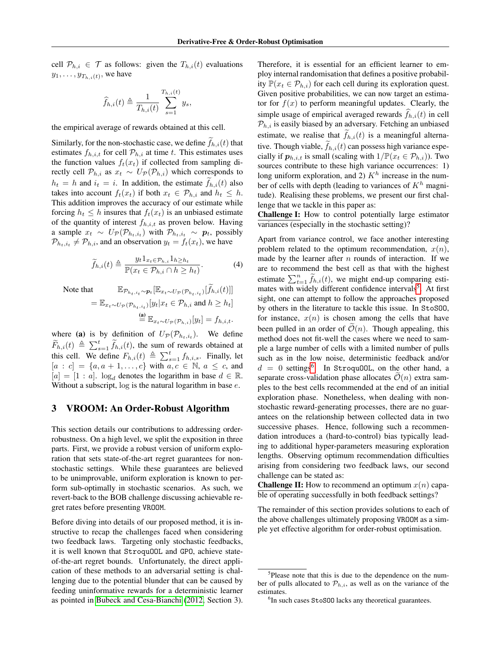cell  $\mathcal{P}_{h,i} \in \mathcal{T}$  as follows: given the  $T_{h,i}(t)$  evaluations  $y_1, \ldots, y_{T_{h,i}(t)}$ , we have

$$
\widehat{f}_{h,i}(t) \triangleq \frac{1}{T_{h,i}(t)} \sum_{s=1}^{T_{h,i}(t)} y_s,
$$

the empirical average of rewards obtained at this cell.

Similarly, for the non-stochastic case, we define  $\widetilde{f}_{h,i}(t)$  that estimates  $f_{h,i,t}$  for cell  $\mathcal{P}_{h,i}$  at time t. This estimates uses the function values  $f_t(x_t)$  if collected from sampling directly cell  $\mathcal{P}_{h,i}$  as  $x_t \sim U_{\mathcal{P}}(\mathcal{P}_{h,i})$  which corresponds to  $h_t = h$  and  $i_t = i$ . In addition, the estimate  $f_{h,i}(t)$  also takes into account  $f_t(x_t)$  if both  $x_t \in \mathcal{P}_{h,i}$  and  $h_t \leq h$ . This addition improves the accuracy of our estimate while forcing  $h_t \leq h$  insures that  $f_t(x_t)$  is an unbiased estimate of the quantity of interest  $f_{h,i,t}$  as proven below. Having a sample  $x_t \sim U_{\mathcal{P}}(\mathcal{P}_{h_t,i_t})$  with  $\mathcal{P}_{h_t,i_t} \sim p_t$ , possibly  $\mathcal{P}_{h_t, i_t} \neq \mathcal{P}_{h,i}$ , and an observation  $y_t = f_t(x_t)$ , we have

$$
\widetilde{f}_{h,i}(t) \triangleq \frac{y_t 1_{x_t \in \mathcal{P}_{h,i}} 1_{h \geq h_t}}{\mathbb{P}(x_t \in \mathcal{P}_{h,i} \cap h \geq h_t)}.
$$
\n(4)

Note

that 
$$
\mathbb{E}_{\mathcal{P}_{h_t,i_t} \sim \mathcal{P}_t} [\mathbb{E}_{x_t \sim U_{\mathcal{P}}(\mathcal{P}_{h_t,i_t})}[\tilde{f}_{h,i}(t)]]
$$

$$
= \mathbb{E}_{x_t \sim U_{\mathcal{P}}(\mathcal{P}_{h_t,i_t})}[y_t | x_t \in \mathcal{P}_{h,i} \text{ and } h \ge h_t]
$$

$$
\stackrel{\text{(a)}}{=} \mathbb{E}_{x_t \sim U_{\mathcal{P}}(\mathcal{P}_{h,i})}[y_t] = f_{h,i,t}.
$$

where (a) is by definition of  $U_{\mathcal{P}}(\mathcal{P}_{h_t,i_t})$ . We define  $\widetilde{F}_{h,i}(t) \triangleq \sum_{s=1}^t \widetilde{f}_{h,i}(t)$ , the sum of rewards obtained at this cell. We define  $F_{h,i}(t) \triangleq \sum_{s=1}^{t} f_{h,i,s}$ . Finally, let  $[a : c] = \{a, a + 1, \ldots, c\}$  with  $a, c \in \mathbb{N}, a \leq c$ , and  $[a] = [1 : a]$ .  $\log_d$  denotes the logarithm in base  $d \in \mathbb{R}$ . Without a subscript,  $log$  is the natural logarithm in base  $e$ .

## 3 VROOM: An Order-Robust Algorithm

This section details our contributions to addressing orderrobustness. On a high level, we split the exposition in three parts. First, we provide a robust version of uniform exploration that sets state-of-the-art regret guarantees for nonstochastic settings. While these guarantees are believed to be unimprovable, uniform exploration is known to perform sub-optimally in stochastic scenarios. As such, we revert-back to the BOB challenge discussing achievable regret rates before presenting VROOM.

Before diving into details of our proposed method, it is instructive to recap the challenges faced when considering two feedback laws. Targeting only stochastic feedbacks, it is well known that StroquOOL and GPO, achieve stateof-the-art regret bounds. Unfortunately, the direct application of these methods to an adversarial setting is challenging due to the potential blunder that can be caused by feeding uninformative rewards for a deterministic learner as pointed in Bubeck and Cesa-Bianchi (2012, Section 3). Therefore, it is essential for an efficient learner to employ internal randomisation that defines a positive probability  $\mathbb{P}(x_t \in \mathcal{P}_{h,i})$  for each cell during its exploration quest. Given positive probabilities, we can now target an estimator for  $f(x)$  to perform meaningful updates. Clearly, the simple usage of empirical averaged rewards  $f_{h,i}(t)$  in cell  $\mathcal{P}_{h,i}$  is easily biased by an adversary. Fetching an unbiased estimate, we realise that  $f_{h,i}(t)$  is a meaningful alternative. Though viable,  $\widetilde{f}_{h,i}(t)$  can possess high variance especially if  $p_{h,i,t}$  is small (scaling with  $1/\mathbb{P}(x_t \in \mathcal{P}_{h,i})$ ). Two sources contribute to these high variance occurrences: 1) long uniform exploration, and 2)  $K<sup>h</sup>$  increase in the number of cells with depth (leading to variances of  $K<sup>h</sup>$  magnitude). Realising these problems, we present our first challenge that we tackle in this paper as:

Challenge I: How to control potentially large estimator variances (especially in the stochastic setting)?

Apart from variance control, we face another interesting problem related to the optimum recommendation,  $x(n)$ , made by the learner after  $n$  rounds of interaction. If we are to recommend the best cell as that with the highest estimate  $\sum_{t=1}^{n} \widetilde{f}_{h,i}(t)$ , we might end-up comparing estimates with widely different confidence intervals<sup>5</sup>. At first sight, one can attempt to follow the approaches proposed by others in the literature to tackle this issue. In StoSOO, for instance,  $x(n)$  is chosen among the cells that have been pulled in an order of  $\mathcal{O}(n)$ . Though appealing, this method does not fit-well the cases where we need to sample a large number of cells with a limited number of pulls such as in the low noise, deterministic feedback and/or  $d = 0$  settings<sup>6</sup>. In StroquOOL, on the other hand, a separate cross-validation phase allocates  $\mathcal{O}(n)$  extra samples to the best cells recommended at the end of an initial exploration phase. Nonetheless, when dealing with nonstochastic reward-generating processes, there are no guarantees on the relationship between collected data in two successive phases. Hence, following such a recommendation introduces a (hard-to-control) bias typically leading to additional hyper-parameters measuring exploration lengths. Observing optimum recommendation difficulties arising from considering two feedback laws, our second challenge can be stated as:

**Challenge II:** How to recommend an optimum  $x(n)$  capable of operating successfully in both feedback settings?

The remainder of this section provides solutions to each of the above challenges ultimately proposing VROOM as a simple yet effective algorithm for order-robust optimisation.

<sup>&</sup>lt;sup>5</sup>Please note that this is due to the dependence on the number of pulls allocated to  $\mathcal{P}_{h,i}$ , as well as on the variance of the estimates.

<sup>&</sup>lt;sup>6</sup>In such cases StoS00 lacks any theoretical guarantees.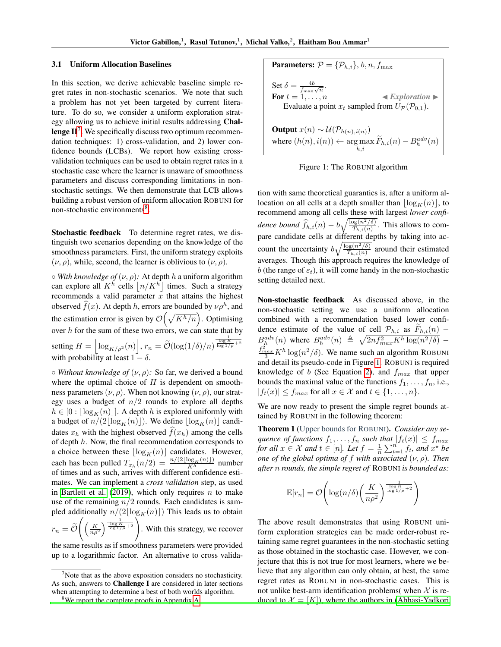#### 3.1 Uniform Allocation Baselines

In this section, we derive achievable baseline simple regret rates in non-stochastic scenarios. We note that such a problem has not yet been targeted by current literature. To do so, we consider a uniform exploration strategy allowing us to achieve initial results addressing Challenge  $\mathbf{H}^7$ . We specifically discuss two optimum recommendation techniques: 1) cross-validation, and 2) lower confidence bounds (LCBs). We report how existing crossvalidation techniques can be used to obtain regret rates in a stochastic case where the learner is unaware of smoothness parameters and discuss corresponding limitations in nonstochastic settings. We then demonstrate that LCB allows building a robust version of uniform allocation ROBUNI for non-stochastic environments<sup>8</sup>.

Stochastic feedback To determine regret rates, we distinguish two scenarios depending on the knowledge of the smoothness parameters. First, the uniform strategy exploits  $(\nu, \rho)$ , while, second, the learner is oblivious to  $(\nu, \rho)$ .

 $\circ$  *With knowledge of*  $(\nu, \rho)$ : At depth h a uniform algorithm can explore all  $K^h$  cells  $\lfloor n/K^h \rfloor$  times. Such a strategy recommends a valid parameter  $\overline{x}$  that attains the highest observed  $\hat{f}(x)$ . At depth h, errors are bounded by  $\nu \rho^h$ , and the estimation error is given by  $\mathcal{O}(\sqrt{K^h/n})$ . Optimising over  $h$  for the sum of these two errors, we can state that by setting  $H = \left\lfloor \log_{K/\rho^2}(n) \right\rfloor$ ,  $r_n = \widetilde{\mathcal{O}}(\log(1/\delta)/n)$  $\frac{1}{\log K}$ <sub>log</sub>  $\frac{1}{1/\rho}$  + 2 with probability at least  $1 - \delta$ .

 $\circ$  *Without knowledge of*  $(\nu, \rho)$ *:* So far, we derived a bound where the optimal choice of  $H$  is dependent on smoothness parameters  $(\nu, \rho)$ . When not knowing  $(\nu, \rho)$ , our strategy uses a budget of  $n/2$  rounds to explore all depths  $h \in [0 : \lfloor \log_K(n) \rfloor]$ . A depth h is explored uniformly with a budget of  $n/(2\lfloor\log_K(n)\rfloor)$ . We define  $\lfloor\log_K(n)\rfloor$  candidates  $x_h$  with the highest observed  $\hat{f}(x_h)$  among the cells of depth h. Now, the final recommendation corresponds to a choice between these  $\lfloor \log_K(n)\rfloor$  candidates. However, each has been pulled  $T_{x_h}(n/2) = \frac{n/(2\lfloor \log_K(n) \rfloor)}{K^h}$  number of times and as such, arrives with different confidence estimates. We can implement a *cross validation* step, as used in Bartlett et al. (2019), which only requires  $n$  to make use of the remaining  $n/2$  rounds. Each candidates is sampled additionally  $n/(2\lfloor \log_K(n)\rfloor)$  This leads us to obtain  $r_n = \mathcal{O}$  $\left(\left(\frac{K}{np^2}\right)^{\frac{1}{\log K}+2}\right)$ . With this strategy, we recover

the same results as if smoothness parameters were provided up to a logarithmic factor. An alternative to cross valida-

Parameters: 
$$
\mathcal{P} = \{P_{h,i}\}, b, n, f_{\text{max}}
$$

\nSet  $\delta = \frac{4b}{f_{\text{max}}\sqrt{n}}$ .

\nFor *t* = 1, …, *n* ≤ *Exploration* > Evaluate a point *x\_t* sampled from *U<sub>P</sub>*(*P*<sub>0,1</sub>).

\nOutput *x*(*n*) ∼ *U*(*P*<sub>h(n),i(n)</sub>)

\nwhere  $(h(n), i(n)) \leftarrow \arg \max_{h,i} \widetilde{F}_{h,i}(n) - B_h^{adv}(n)$ 



tion with same theoretical guaranties is, after a uniform allocation on all cells at a depth smaller than  $\lfloor \log_K(n) \rfloor$ , to recommend among all cells these with largest *lower confidence bound*  $\widehat{f}_{h,i}(n) - b\sqrt{\frac{\log(n^2/\delta)}{T_{h,i}(n)}}$ . This allows to compare candidate cells at different depths by taking into account the uncertainty  $b\sqrt{\frac{\log(n^2/\delta)}{T_{h,i}(n)}}$  around their estimated averages. Though this approach requires the knowledge of b (the range of  $\varepsilon_t$ ), it will come handy in the non-stochastic setting detailed next.

Non-stochastic feedback As discussed above, in the non-stochastic setting we use a uniform allocation combined with a recommendation based lower confidence estimate of the value of cell  $\mathcal{P}_{h,i}$  as  $F_{h,i}(n)$  −  $B_h^{adv}(n)$  where  $B_h^{adv}(n) \triangleq \sqrt{2nf_{max}^2 K^h \log(n^2/\delta)}$  –  $\frac{f_{max}^2}{3} K^h \log(n^2/\delta)$ . We name such an algorithm ROBUNI and detail its pseudo-code in Figure 1. ROBUNI is required knowledge of b (See Equation 2), and  $f_{max}$  that upper bounds the maximal value of the functions  $f_1, \ldots, f_n$ , i.e.,  $|f_t(x)| \le f_{max}$  for all  $x \in \mathcal{X}$  and  $t \in \{1, \ldots, n\}.$ 

We are now ready to present the simple regret bounds attained by ROBUNI in the following theorem:

Theorem 1 (Upper bounds for ROBUNI). *Consider any sequence of functions*  $f_1, \ldots, f_n$  *such that*  $|f_t(x)| \leq f_{max}$ *for all*  $x \in \mathcal{X}$  *and*  $t \in [n]$ *. Let*  $f = \frac{1}{n} \sum_{t=1}^{n} f_t$ *, and*  $x^*$  *be one of the global optima of f with associated*  $(\nu, \rho)$ *. Then after* n *rounds, the simple regret of* ROBUNI *is bounded as:*

$$
\mathbb{E}[r_n] = \mathcal{O}\!\left(\log(n/\delta)\!\left(\frac{K}{n\rho^2}\right)^{\frac{1}{\log K}+2}\right)
$$

The above result demonstrates that using ROBUNI uniform exploration strategies can be made order-robust retaining same regret guarantees in the non-stochastic setting as those obtained in the stochastic case. However, we conjecture that this is not true for most learners, where we believe that any algorithm can only obtain, at best, the same regret rates as ROBUNI in non-stochastic cases. This is not unlike best-arm identification problems (when  $X$  is reduced to  $\mathcal{X} = [K]$ , where the authors in (Abbasi-Yadkori

Note that as the above exposition considers no stochasticity. As such, answers to Challenge I are considered in later sections when attempting to determine a best of both worlds algorithm.

<sup>&</sup>lt;sup>8</sup>We report the complete proofs in Appendix A.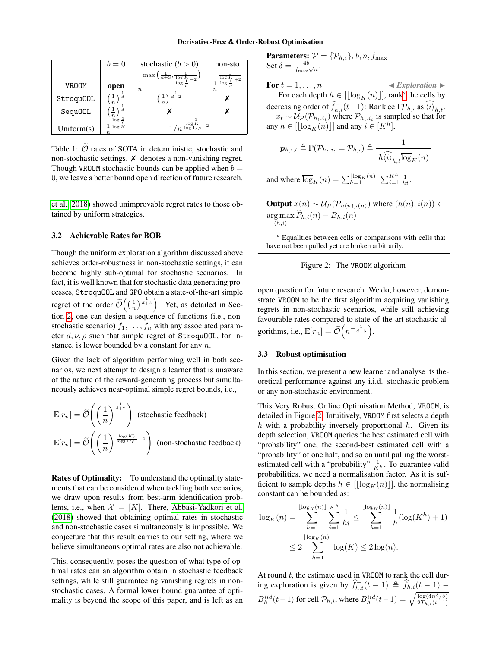|               | $b=0$                                     | stochastic $(b > 0)$                         | non-sto                     |
|---------------|-------------------------------------------|----------------------------------------------|-----------------------------|
|               |                                           | max<br>$\sqrt{d+3}$ , $\frac{1}{\log K + 2}$ | log K<br>$\log \frac{1}{2}$ |
| <b>VROOM</b>  | open                                      | $\boldsymbol{n}$                             | $\boldsymbol{n}$            |
| Stroqu00L     | $\boldsymbol{n}$                          | $\overline{d+2}$                             |                             |
| Sequ00L       | $\boldsymbol{n}$                          |                                              |                             |
| Uniform $(s)$ | $\log \frac{1}{2}$<br>$\overline{\log K}$ | $1/n^{\frac{\log K}{\log 1/\rho}+2}$         |                             |

Table 1:  $\tilde{\mathcal{O}}$  rates of SOTA in deterministic, stochastic and non-stochastic settings.  $\boldsymbol{\chi}$  denotes a non-vanishing regret. Though VROOM stochastic bounds can be applied when  $b =$ 0, we leave a better bound open direction of future research.

et al., 2018) showed unimprovable regret rates to those obtained by uniform strategies.

#### 3.2 Achievable Rates for BOB

Though the uniform exploration algorithm discussed above achieves order-robustness in non-stochastic settings, it can become highly sub-optimal for stochastic scenarios. In fact, it is well known that for stochastic data generating processes, StroquOOL and GPO obtain a state-of-the-art simple regret of the order  $\widetilde{\mathcal{O}}\left(\left(\frac{1}{n}\right)^{\frac{1}{d+2}}\right)$ . Yet, as detailed in Section 2, one can design a sequence of functions (i.e., nonstochastic scenario)  $f_1, \ldots, f_n$  with any associated parameter  $d, \nu, \rho$  such that simple regret of StroquOOL, for instance, is lower bounded by a constant for any  $n$ .

Given the lack of algorithm performing well in both scenarios, we next attempt to design a learner that is unaware of the nature of the reward-generating process but simultaneously achieves near-optimal simple regret bounds, i.e.,

$$
\mathbb{E}[r_n] = \widetilde{\mathcal{O}}\left(\left(\frac{1}{n}\right)^{\frac{1}{d+2}}\right)
$$
 (stochastic feedback)  

$$
\mathbb{E}[r_n] = \widetilde{\mathcal{O}}\left(\left(\frac{1}{n}\right)^{\frac{\log(K)}{\log(1/\rho)}+2}\right)
$$
 (non-stochastic feedback)

**Rates of Optimality:** To understand the optimality statements that can be considered when tackling both scenarios, we draw upon results from best-arm identification problems, i.e., when  $\mathcal{X} = [K]$ . There, Abbasi-Yadkori et al. (2018) showed that obtaining optimal rates in stochastic and non-stochastic cases simultaneously is impossible. We conjecture that this result carries to our setting, where we believe simultaneous optimal rates are also not achievable.

This, consequently, poses the question of what type of optimal rates can an algorithm obtain in stochastic feedback settings, while still guaranteeing vanishing regrets in nonstochastic cases. A formal lower bound guarantee of optimality is beyond the scope of this paper, and is left as an

**Parameters:** *P* = {*P*<sub>*h*,*i*</sub>}, *b*, *n*, *f*<sub>max</sub>  
\n**Set** *δ* = 
$$
\frac{4b}{f_{\text{max}}\sqrt{n}}
$$
.  
\n**For** *t* = 1, . . . , *n* **■** *Exploration* **■**  
\n**For** each depth *h* ∈ [[log<sub>*K*</sub>(*n*)]], rank<sup>*a*</sup> the cells by decreasing order of  $\hat{f}_{h,i}(t-1)$ : Rank cell *P*<sub>*h*,*i*</sub> as  $\langle \hat{i} \rangle_{h,t}$ .  
\n*x*<sub>*t*</sub> ∼ *Up*(*P*<sub>*h*,*i*</sub>) where *P*<sub>*h*,*i*</sub> is sampled so that for any *h* ∈ [[log<sub>*K*</sub>(*n*)]] and any *i* ∈ [*K*<sup>*h*</sup>],

$$
\boldsymbol{p}_{h,i,t} \triangleq \mathbb{P}(\mathcal{P}_{h_t,i_t} = \mathcal{P}_{h,i}) \triangleq \frac{1}{h \widehat{\langle i \rangle}_{h,t} \overline{\log}_K(n)}
$$

and where  $\overline{\log}_K(n) = \sum_{h=1}^{\lfloor \log_K(n) \rfloor} \sum_{i=1}^{K^h} \frac{1}{hi}$ .

**Output**  $x(n) \sim U_P(\mathcal{P}_{h(n),i(n)})$  where  $(h(n),i(n))$  ←  $\arg \max_{(h,i)} F_{h,i}(n) - B_{h,i}(n)$  $(h,i)$ 

*<sup>a</sup>* Equalities between cells or comparisons with cells that have not been pulled yet are broken arbitrarily.



open question for future research. We do, however, demonstrate VROOM to be the first algorithm acquiring vanishing regrets in non-stochastic scenarios, while still achieving favourable rates compared to state-of-the-art stochastic algorithms, i.e.,  $\mathbb{E}[r_n] = \widetilde{\mathcal{O}}\left(n^{-\frac{1}{d+3}}\right)$ .

#### 3.3 Robust optimisation

In this section, we present a new learner and analyse its theoretical performance against any i.i.d. stochastic problem or any non-stochastic environment.

This Very Robust Online Optimisation Method, VROOM, is detailed in Figure 2. Intuitively, VROOM first selects a depth  $h$  with a probability inversely proportional  $h$ . Given its depth selection, VROOM queries the best estimated cell with "probability" one, the second-best estimated cell with a "probability" of one half, and so on until pulling the worstestimated cell with a "probability"  $\frac{1}{K^h}$ . To guarantee valid probabilities, we need a normalisation factor. As it is sufficient to sample depths  $h \in [\lfloor \log_K(n) \rfloor]$ , the normalising constant can be bounded as:

$$
\overline{\log}_{K}(n) = \sum_{h=1}^{\lfloor \log_{K}(n) \rfloor} \sum_{i=1}^{K^{h}} \frac{1}{hi} \le \sum_{h=1}^{\lfloor \log_{K}(n) \rfloor} \frac{1}{h} (\log(K^{h}) + 1)
$$

$$
\le 2 \sum_{h=1}^{\lfloor \log_{K}(n) \rfloor} \log(K) \le 2 \log(n).
$$

At round  $t$ , the estimate used in VROOM to rank the cell during exploration is given by  $\hat{f}_{h,i}(t-1) \triangleq \hat{f}_{h,i}(\underline{t-1})$  –  $B_h^{iid}(t-1)$  for cell  $\mathcal{P}_{h,i}$ , where  $B_h^{iid}(t-1) = \sqrt{\frac{\log(4n^3/\delta)}{2T_{h,i}(t-1)}}$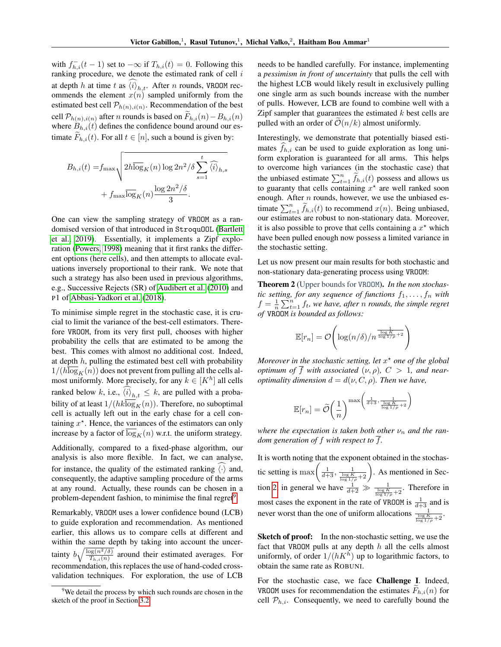with  $f_{h,i}^-(t-1)$  set to  $-\infty$  if  $T_{h,i}(t) = 0$ . Following this ranking procedure, we denote the estimated rank of cell  $i$ at depth h at time t as  $\langle i \rangle_{h,t}$ . After n rounds, VROOM recommends the element  $x(n)$  sampled uniformly from the estimated best cell  $\mathcal{P}_{h(n),i(n)}$ . Recommendation of the best cell  $\mathcal{P}_{h(n),i(n)}$  after n rounds is based on  $F_{h,i}(n)-B_{h,i}(n)$ where  $B_{h,i}(t)$  defines the confidence bound around our estimate  $F_{h,i}(t)$ . For all  $t \in [n]$ , such a bound is given by:

$$
B_{h,i}(t) = f_{\max} \sqrt{2h \overline{\log}_K(n) \log 2n^2/\delta \sum_{s=1}^t \widehat{\langle i \rangle}_{h,s} + f_{\max} \overline{\log}_K(n) \frac{\log 2n^2/\delta}{3}}.
$$

One can view the sampling strategy of VROOM as a randomised version of that introduced in StroquOOL (Bartlett et al., 2019). Essentially, it implements a Zipf exploration (Powers, 1998) meaning that it first ranks the different options (here cells), and then attempts to allocate evaluations inversely proportional to their rank. We note that such a strategy has also been used in previous algorithms, e.g., Successive Rejects (SR) of Audibert et al. (2010) and P1 of Abbasi-Yadkori et al. (2018).

To minimise simple regret in the stochastic case, it is crucial to limit the variance of the best-cell estimators. Therefore VROOM, from its very first pull, chooses with higher probability the cells that are estimated to be among the best. This comes with almost no additional cost. Indeed, at depth  $h$ , pulling the estimated best cell with probability  $1/(h \log_K(n))$  does not prevent from pulling all the cells almost uniformly. More precisely, for any  $k \in [K^h]$  all cells ranked below k, i.e.,  $\langle i \rangle_{h,t} \leq k$ , are pulled with a probability of at least  $1/(hk\overline{\log}_K(n))$ . Therefore, no suboptimal cell is actually left out in the early chase for a cell containing  $x^*$ . Hence, the variances of the estimators can only increase by a factor of  $\log_K(n)$  w.r.t. the uniform strategy.

Additionally, compared to a fixed-phase algorithm, our analysis is also more flexible. In fact, we can analyse, for instance, the quality of the estimated ranking  $\langle \cdot \rangle$  and, consequently, the adaptive sampling procedure of the arms at any round. Actually, these rounds can be chosen in a problem-dependent fashion, to minimise the final regret<sup>9</sup>.

Remarkably, VROOM uses a lower confidence bound (LCB) to guide exploration and recommendation. As mentioned earlier, this allows us to compare cells at different and within the same depth by taking into account the uncertainty  $b\sqrt{\frac{\log(n^2/\delta)}{T_{h,i}(n)}}$  around their estimated averages. For recommendation, this replaces the use of hand-coded crossvalidation techniques. For exploration, the use of LCB needs to be handled carefully. For instance, implementing a *pessimism in front of uncertainty* that pulls the cell with the highest LCB would likely result in exclusively pulling one single arm as such bounds increase with the number of pulls. However, LCB are found to combine well with a Zipf sampler that guarantees the estimated  $k$  best cells are pulled with an order of  $\mathcal{O}(n/k)$  almost uniformly.

Interestingly, we demonstrate that potentially biased estimates  $f_{h,i}$  can be used to guide exploration as long uniform exploration is guaranteed for all arms. This helps to overcome high variances (in the stochastic case) that the unbiased estimate  $\sum_{t=1}^{n} \tilde{f}_{h,i}(t)$  possess and allows us to guaranty that cells containing  $x^*$  are well ranked soon enough. After  $n$  rounds, however, we use the unbiased estimate  $\sum_{t=1}^{n} \widetilde{f}_{h,i}(t)$  to recommend  $x(n)$ . Being unbiased, our estimates are robust to non-stationary data. Moreover, it is also possible to prove that cells containing a  $x^*$  which have been pulled enough now possess a limited variance in the stochastic setting.

Let us now present our main results for both stochastic and non-stationary data-generating process using VROOM:

Theorem 2 (Upper bounds for VROOM). *In the non stochastic setting, for any sequence of functions*  $f_1, \ldots, f_n$  *with*  $f = \frac{1}{n} \sum_{t=1}^{n} f_t$ , we have, after *n* rounds, the simple regret *of* VROOM *is bounded as follows:*

$$
\mathbb{E}[r_n] = \mathcal{O}\!\left(\log(n/\delta)/n^{\frac{1}{\frac{\log K}{\log 1/\rho} + 2}}\right)
$$

*Moreover in the stochastic setting, let* x ? *one of the global optimum of*  $\overline{f}$  *with associated*  $(\nu, \rho)$ ,  $C > 1$ *, and nearoptimality dimension*  $d = d(\nu, C, \rho)$ *. Then we have,* 

$$
\mathbb{E}[r_n] = \widetilde{\mathcal{O}}\bigg(\frac{1}{n}\bigg)^{\max\bigg(\frac{1}{d+3}, \frac{1}{\frac{\log K}{\log 1/\rho}+2}\bigg)}
$$

*where the expectation is taken both other*  $\nu_n$  *and the random generation of*  $f$  *with respect to*  $\overline{f}$ *.* 

It is worth noting that the exponent obtained in the stochastic setting is  $\max\left(\frac{1}{d+3}, \frac{1}{\frac{\log K}{\log 1/\rho}+2}\right)$ . As mentioned in Section 2, in general we have  $\frac{1}{d+2} \gg \frac{1}{\frac{\log K}{\log 1/\rho}+2}$ . Therefore in most cases the exponent in the rate of VROOM is  $\frac{1}{d+3}$  and is never worst than the one of uniform allocations  $\frac{1}{\log K}$ 

Sketch of proof: In the non-stochastic setting, we use the fact that VROOM pulls at any depth  $h$  all the cells almost uniformly, of order  $1/(hK^h)$  up to logarithmic factors, to obtain the same rate as ROBUNI.

For the stochastic case, we face Challenge I. Indeed, VROOM uses for recommendation the estimates  $F_{h,i}(n)$  for cell  $\mathcal{P}_{h,i}$ . Consequently, we need to carefully bound the

<sup>&</sup>lt;sup>9</sup>We detail the process by which such rounds are chosen in the sketch of the proof in Section 3.2.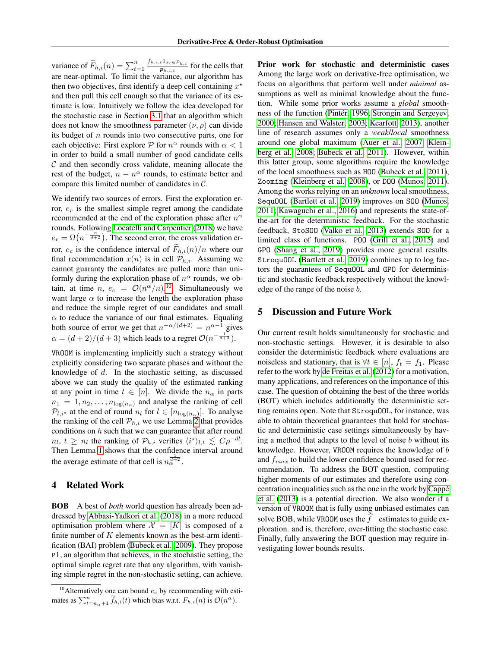variance of  $\widetilde{F}_{h,i}(n) = \sum_{t=1}^{n} \frac{f_{h,i,t} 1_{x_t \in \mathcal{P}_{h,i}}}{p_{h,i,t}}$  $\frac{t^2x_t \in P_{h,i}}{p_{h,i,t}}$  for the cells that are near-optimal. To limit the variance, our algorithm has then two objectives, first identify a deep cell containing  $x^*$ and then pull this cell enough so that the variance of its estimate is low. Intuitively we follow the idea developed for the stochastic case in Section 3.1 that an algorithm which does not know the smoothness parameter  $(\nu, \rho)$  can divide its budget of  $n$  rounds into two consecutive parts, one for each objective: First explore  $P$  for  $n^{\alpha}$  rounds with  $\alpha < 1$ in order to build a small number of good candidate cells  $C$  and then secondly cross validate, meaning allocate the rest of the budget,  $n - n^{\alpha}$  rounds, to estimate better and compare this limited number of candidates in C.

We identify two sources of errors. First the exploration error,  $e_r$  is the smallest simple regret among the candidate recommended at the end of the exploration phase after  $n^{\alpha}$ rounds. Following Locatelli and Carpentier (2018) we have  $e_r = \Omega(n^{-\frac{\alpha}{d+2}})$ . The second error, the cross validation error,  $e_c$  is the confidence interval of  $\tilde{F}_{h,i}(n)/n$  where our final recommendation  $x(n)$  is in cell  $\mathcal{P}_{h,i}$ . Assuming we cannot guaranty the candidates are pulled more than uniformly during the exploration phase of  $n^{\alpha}$  rounds, we obtain, at time  $n, e_c = \mathcal{O}(n^{\alpha}/n)$ .<sup>10</sup> Simultaneously we want large  $\alpha$  to increase the length the exploration phase and reduce the simple regret of our candidates and small  $\alpha$  to reduce the variance of our final estimates. Equaling both source of error we get that  $n^{-\alpha/(d+2)} = n^{\alpha-1}$  gives  $\alpha = (d+2)/(d+3)$  which leads to a regret  $\mathcal{O}(n^{-\frac{1}{d+3}})$ .

VROOM is implementing implicitly such a strategy without explicitly considering two separate phases and without the knowledge of d. In the stochastic setting, as discussed above we can study the quality of the estimated ranking at any point in time  $t \in [n]$ . We divide the  $n_{\alpha}$  in parts  $n_1 = 1, n_2, \ldots, n_{\log(n_{\alpha})}$  and analyse the ranking of cell  $\mathcal{P}_{l,i^*}$  at the end of round  $n_l$  for  $l \in [n_{\log(n_\alpha)}]$ . To analyse the ranking of the cell  $P_{h,i}$  we use Lemma 2 that provides conditions on  $h$  such that we can guarantee that after round  $n_l, t \geq n_l$  the ranking of  $\mathcal{P}_{h,i}$  verifies  $\langle i^* \rangle_{l,t} \lesssim C \rho^{-dl}$ . Then Lemma 1 shows that the confidence interval around the average estimate of that cell is  $n_{\alpha}^{\frac{1}{d+2}}$ .

## 4 Related Work

BOB A best of *both* world question has already been addressed by Abbasi-Yadkori et al. (2018) in a more reduced optimisation problem where  $\mathcal{X} = [K]$  is composed of a finite number of  $K$  elements known as the best-arm identification (BAI) problem (Bubeck et al., 2009). They propose P1, an algorithm that achieves, in the stochastic setting, the optimal simple regret rate that any algorithm, with vanishing simple regret in the non-stochastic setting, can achieve. Prior work for stochastic and deterministic cases Among the large work on derivative-free optimisation, we focus on algorithms that perform well under *minimal* assumptions as well as minimal knowledge about the function. While some prior works assume a *global* smoothness of the function (Pintér, 1996; Strongin and Sergeyev, 2000; Hansen and Walster, 2003; Kearfott, 2013), another line of research assumes only a *weak*/*local* smoothness around one global maximum (Auer et al., 2007; Kleinberg et al., 2008; Bubeck et al., 2011). However, within this latter group, some algorithms require the knowledge of the local smoothness such as HOO (Bubeck et al., 2011), Zooming (Kleinberg et al., 2008), or DOO (Munos, 2011). Among the works relying on an *unknown* local smoothness, SequOOL (Bartlett et al., 2019) improves on SOO (Munos, 2011; Kawaguchi et al., 2016) and represents the state-ofthe-art for the deterministic feedback. For the stochastic feedback, StoSOO (Valko et al., 2013) extends SOO for a limited class of functions. POO (Grill et al., 2015) and GPO (Shang et al., 2019) provides more general results. StroquOOL (Bartlett et al., 2019) combines up to log factors the guarantees of SequOOL and GPO for deterministic and stochastic feedback respectively without the knowledge of the range of the noise b.

# 5 Discussion and Future Work

Our current result holds simultaneously for stochastic and non-stochastic settings. However, it is desirable to also consider the deterministic feedback where evaluations are noiseless and stationary, that is  $\forall t \in [n]$ ,  $f_t = f_1$ . Please refer to the work by de Freitas et al. (2012) for a motivation, many applications, and references on the importance of this case. The question of obtaining the best of the three worlds (BOT) which includes additionally the deterministic setting remains open. Note that StroquOOL, for instance, was able to obtain theoretical guarantees that hold for stochastic and deterministic case settings simultaneously by having a method that adapts to the level of noise  $b$  without its knowledge. However, VROOM requires the knowledge of b and  $f_{max}$  to build the lower confidence bound used for recommendation. To address the BOT question, computing higher moments of our estimates and therefore using concentration inequalities such as the one in the work by Cappe´ et al. (2013) is a potential direction. We also wonder if a version of VROOM that is fully using unbiased estimates can solve BOB, while VROOM uses the  $f<sup>-</sup>$  estimates to guide exploration. and is, therefore, over-fitting the stochastic case. Finally, fully answering the BOT question may require investigating lower bounds results.

<sup>&</sup>lt;sup>10</sup>Alternatively one can bound  $e_c$  by recommending with estimates as  $\sum_{t=n_{\alpha}+1}^{n} \tilde{f}_{h,i}(t)$  which bias w.r.t.  $F_{h,i}(n)$  is  $\mathcal{O}(n^{\alpha})$ .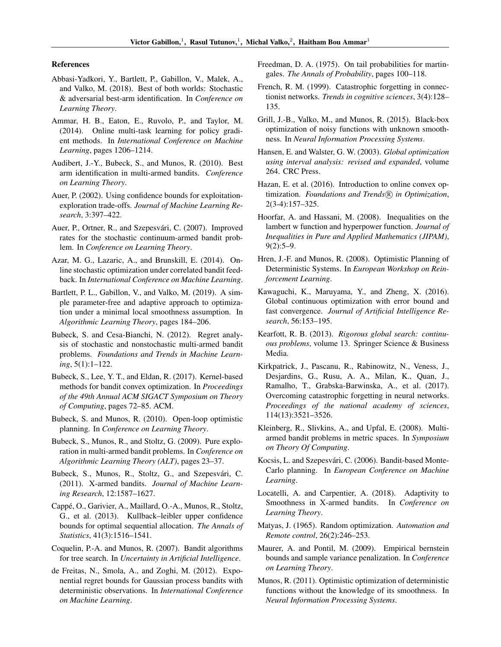#### References

- Abbasi-Yadkori, Y., Bartlett, P., Gabillon, V., Malek, A., and Valko, M. (2018). Best of both worlds: Stochastic & adversarial best-arm identification. In *Conference on Learning Theory*.
- Ammar, H. B., Eaton, E., Ruvolo, P., and Taylor, M. (2014). Online multi-task learning for policy gradient methods. In *International Conference on Machine Learning*, pages 1206–1214.
- Audibert, J.-Y., Bubeck, S., and Munos, R. (2010). Best arm identification in multi-armed bandits. *Conference on Learning Theory*.
- Auer, P. (2002). Using confidence bounds for exploitationexploration trade-offs. *Journal of Machine Learning Research*, 3:397–422.
- Auer, P., Ortner, R., and Szepesvári, C. (2007). Improved rates for the stochastic continuum-armed bandit problem. In *Conference on Learning Theory*.
- Azar, M. G., Lazaric, A., and Brunskill, E. (2014). Online stochastic optimization under correlated bandit feedback. In *International Conference on Machine Learning*.
- Bartlett, P. L., Gabillon, V., and Valko, M. (2019). A simple parameter-free and adaptive approach to optimization under a minimal local smoothness assumption. In *Algorithmic Learning Theory*, pages 184–206.
- Bubeck, S. and Cesa-Bianchi, N. (2012). Regret analysis of stochastic and nonstochastic multi-armed bandit problems. *Foundations and Trends in Machine Learning*, 5(1):1–122.
- Bubeck, S., Lee, Y. T., and Eldan, R. (2017). Kernel-based methods for bandit convex optimization. In *Proceedings of the 49th Annual ACM SIGACT Symposium on Theory of Computing*, pages 72–85. ACM.
- Bubeck, S. and Munos, R. (2010). Open-loop optimistic planning. In *Conference on Learning Theory*.
- Bubeck, S., Munos, R., and Stoltz, G. (2009). Pure exploration in multi-armed bandit problems. In *Conference on Algorithmic Learning Theory (ALT)*, pages 23–37.
- Bubeck, S., Munos, R., Stoltz, G., and Szepesvári, C. (2011). X-armed bandits. *Journal of Machine Learning Research*, 12:1587–1627.
- Cappé, O., Garivier, A., Maillard, O.-A., Munos, R., Stoltz, G., et al. (2013). Kullback–leibler upper confidence bounds for optimal sequential allocation. *The Annals of Statistics*, 41(3):1516–1541.
- Coquelin, P.-A. and Munos, R. (2007). Bandit algorithms for tree search. In *Uncertainty in Artificial Intelligence*.
- de Freitas, N., Smola, A., and Zoghi, M. (2012). Exponential regret bounds for Gaussian process bandits with deterministic observations. In *International Conference on Machine Learning*.
- Freedman, D. A. (1975). On tail probabilities for martingales. *The Annals of Probability*, pages 100–118.
- French, R. M. (1999). Catastrophic forgetting in connectionist networks. *Trends in cognitive sciences*, 3(4):128– 135.
- Grill, J.-B., Valko, M., and Munos, R. (2015). Black-box optimization of noisy functions with unknown smoothness. In *Neural Information Processing Systems*.
- Hansen, E. and Walster, G. W. (2003). *Global optimization using interval analysis: revised and expanded*, volume 264. CRC Press.
- Hazan, E. et al. (2016). Introduction to online convex optimization. *Foundations and Trends*( $\widehat{R}$ ) in Optimization, 2(3-4):157–325.
- Hoorfar, A. and Hassani, M. (2008). Inequalities on the lambert w function and hyperpower function. *Journal of Inequalities in Pure and Applied Mathematics (JIPAM)*, 9(2):5–9.
- Hren, J.-F. and Munos, R. (2008). Optimistic Planning of Deterministic Systems. In *European Workshop on Reinforcement Learning*.
- Kawaguchi, K., Maruyama, Y., and Zheng, X. (2016). Global continuous optimization with error bound and fast convergence. *Journal of Artificial Intelligence Research*, 56:153–195.
- Kearfott, R. B. (2013). *Rigorous global search: continuous problems*, volume 13. Springer Science & Business Media.
- Kirkpatrick, J., Pascanu, R., Rabinowitz, N., Veness, J., Desjardins, G., Rusu, A. A., Milan, K., Quan, J., Ramalho, T., Grabska-Barwinska, A., et al. (2017). Overcoming catastrophic forgetting in neural networks. *Proceedings of the national academy of sciences*, 114(13):3521–3526.
- Kleinberg, R., Slivkins, A., and Upfal, E. (2008). Multiarmed bandit problems in metric spaces. In *Symposium on Theory Of Computing*.
- Kocsis, L. and Szepesvári, C. (2006). Bandit-based Monte-Carlo planning. In *European Conference on Machine Learning*.
- Locatelli, A. and Carpentier, A. (2018). Adaptivity to Smoothness in X-armed bandits. In *Conference on Learning Theory*.
- Matyas, J. (1965). Random optimization. *Automation and Remote control*, 26(2):246–253.
- Maurer, A. and Pontil, M. (2009). Empirical bernstein bounds and sample variance penalization. In *Conference on Learning Theory*.
- Munos, R. (2011). Optimistic optimization of deterministic functions without the knowledge of its smoothness. In *Neural Information Processing Systems*.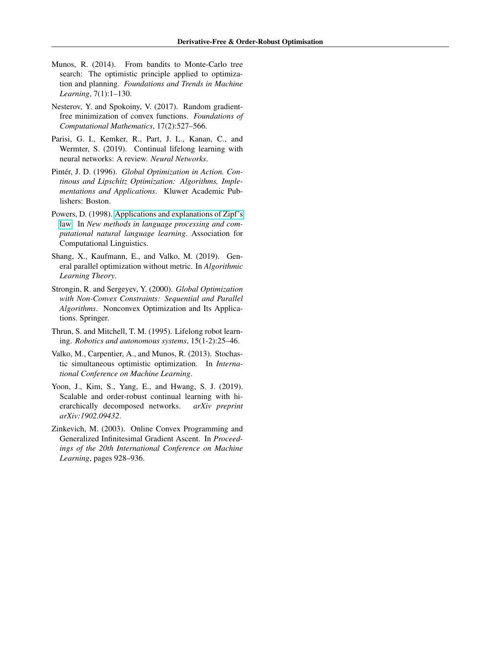- Munos, R. (2014). From bandits to Monte-Carlo tree search: The optimistic principle applied to optimization and planning. *Foundations and Trends in Machine Learning*, 7(1):1–130.
- Nesterov, Y. and Spokoiny, V. (2017). Random gradientfree minimization of convex functions. *Foundations of Computational Mathematics*, 17(2):527–566.
- Parisi, G. I., Kemker, R., Part, J. L., Kanan, C., and Wermter, S. (2019). Continual lifelong learning with neural networks: A review. *Neural Networks*.
- Pintér, J. D. (1996). *Global Optimization in Action. Continous and Lipschitz Optimization: Algorithms, Implementations and Applications*. Kluwer Academic Publishers: Boston.
- Powers, D. (1998). [Applications and explanations of Zipf's](http://aclweb.org/anthology/W98-1218) [law.](http://aclweb.org/anthology/W98-1218) In *New methods in language processing and computational natural language learning*. Association for Computational Linguistics.
- Shang, X., Kaufmann, E., and Valko, M. (2019). General parallel optimization without metric. In *Algorithmic Learning Theory*.
- Strongin, R. and Sergeyev, Y. (2000). *Global Optimization with Non-Convex Constraints: Sequential and Parallel Algorithms*. Nonconvex Optimization and Its Applications. Springer.
- Thrun, S. and Mitchell, T. M. (1995). Lifelong robot learning. *Robotics and autonomous systems*, 15(1-2):25–46.
- Valko, M., Carpentier, A., and Munos, R. (2013). Stochastic simultaneous optimistic optimization. In *International Conference on Machine Learning*.
- Yoon, J., Kim, S., Yang, E., and Hwang, S. J. (2019). Scalable and order-robust continual learning with hierarchically decomposed networks. *arXiv preprint arXiv:1902.09432*.
- Zinkevich, M. (2003). Online Convex Programming and Generalized Infinitesimal Gradient Ascent. In *Proceedings of the 20th International Conference on Machine Learning*, pages 928–936.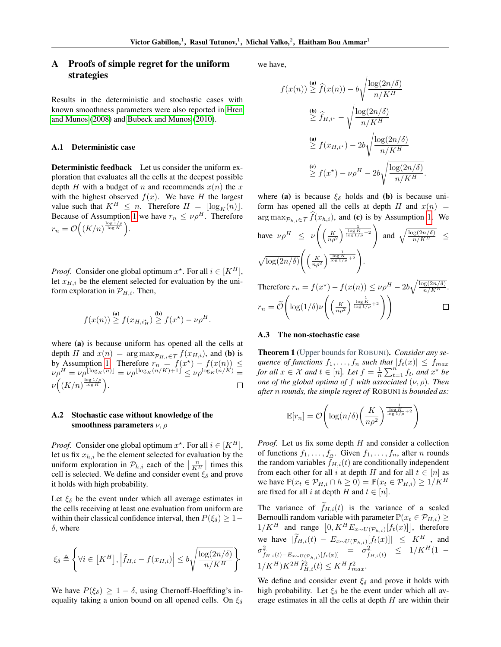# A Proofs of simple regret for the uniform strategies

Results in the deterministic and stochastic cases with known smoothness parameters were also reported in Hren and Munos (2008) and Bubeck and Munos (2010).

# A.1 Deterministic case

Deterministic feedback Let us consider the uniform exploration that evaluates all the cells at the deepest possible depth H with a budget of n and recommends  $x(n)$  the x with the highest observed  $f(x)$ . We have H the largest value such that  $K^H \leq n$ . Therefore  $H = \lfloor \log_K(n) \rfloor$ . Because of Assumption 1 we have  $r_n \le \nu \rho^H$ . Therefore  $r_n = \mathcal{O}\Big((K/n)^{\frac{\log 1/\rho}{\log K}}\Big).$ 

*Proof.* Consider one global optimum  $x^*$ . For all  $i \in [K^H]$ , let  $x_{H,i}$  be the element selected for evaluation by the uniform exploration in  $\mathcal{P}_{H,i}$ . Then,

$$
f(x(n)) \stackrel{\text{(a)}}{\geq} f(x_{H,i_H^*}) \stackrel{\text{(b)}}{\geq} f(x^*) - \nu \rho^H.
$$

where (a) is because uniform has opened all the cells at depth H and  $x(n) = \arg \max_{\mathcal{P}_{H,i} \in \mathcal{T}} f(x_{H,i})$ , and (b) is by Assumption 1. Therefore  $r_n = f(x^*) - f(x(n)) \leq$  $\nu \rho^H = \nu \rho^{\lfloor \log_K(n) \rfloor} = \nu \rho^{\lfloor \log_K(n/K) + 1 \rfloor} \leq \nu \rho^{\log_K(n/K)} =$  $\nu\Big(\left(K/n\right)^{\frac{\log 1/\rho}{\log K}}\Big).$  $\Box$ 

### A.2 Stochastic case without knowledge of the smoothness parameters  $\nu$ ,  $\rho$

*Proof.* Consider one global optimum  $x^*$ . For all  $i \in [K^H]$ , let us fix  $x_{h,i}$  be the element selected for evaluation by the uniform exploration in  $\mathcal{P}_{h,i}$  each of the  $\left\lfloor \frac{n}{K^H} \right\rfloor$  times this cell is selected. We define and consider event  $\xi_{\delta}$  and prove it holds with high probability.

Let  $\xi_{\delta}$  be the event under which all average estimates in the cells receiving at least one evaluation from uniform are within their classical confidence interval, then  $P(\xi_{\delta}) \geq 1 \delta$ , where

$$
\xi_{\delta} \triangleq \left\{ \forall i \in \left[ K^H \right], \left| \widehat{f}_{H,i} - f(x_{H,i}) \right| \leq b \sqrt{\frac{\log(2n/\delta)}{n/K^H}} \right\}.
$$

We have  $P(\xi_{\delta}) \geq 1 - \delta$ , using Chernoff-Hoeffding's inequality taking a union bound on all opened cells. On  $\xi_{\delta}$  we have,

 $\boldsymbol{\mathit{f}}$ 

$$
f(x(n)) \geq \hat{f}(x(n)) - b \sqrt{\frac{\log(2n/\delta)}{n/K^H}}
$$
  
\n
$$
\geq \hat{f}_{H,i^*} - \sqrt{\frac{\log(2n/\delta)}{n/K^H}}
$$
  
\n(a)  
\n
$$
\geq f(x_{H,i^*}) - 2b \sqrt{\frac{\log(2n/\delta)}{n/K^H}}
$$
  
\n(c)  
\n
$$
\geq f(x^*) - \nu \rho^H - 2b \sqrt{\frac{\log(2n/\delta)}{n/K^H}}
$$

where (a) is because  $\xi_{\delta}$  holds and (b) is because uniform has opened all the cells at depth H and  $x(n)$  =  $\arg \max_{\mathcal{P}_{h,i} \in \mathcal{T}} f(x_{h,i}),$  and (c) is by Assumption 1. We

.

have 
$$
\nu \rho^H \leq \nu \left( \left( \frac{K}{n \rho^2} \right)^{\frac{1}{\log K} + 2} \right)
$$
 and  $\sqrt{\frac{\log(2n/\delta)}{n/K^H}} \leq$   
 $\sqrt{\log(2n/\delta)} \left( \left( \frac{K}{n \rho^2} \right)^{\frac{1}{\log K} + 2} \right).$ 

Therefore  $r_n = f(x^*) - f(x(n)) \le \nu \rho^H - 2b \sqrt{\frac{\log(2n/\delta)}{n/K^H}}$ .  $\sqrt{2}$  $\left(\left(\frac{K}{n\rho^2}\right)^{\frac{1}{\log K}}\right)$  $\Box$  $r_n = \mathcal{O}$  $\log(1/\delta)\nu$ 

#### A.3 The non-stochastic case

Theorem 1 (Upper bounds for ROBUNI). *Consider any sequence of functions*  $f_1, \ldots, f_n$  *such that*  $|f_t(x)| \le f_{max}$ *for all*  $x \in \mathcal{X}$  *and*  $t \in [n]$ *. Let*  $f = \frac{1}{n} \sum_{t=1}^{n} f_t$ *, and*  $x^*$  *be one of the global optima of* f *with associated* (ν, ρ)*. Then after* n *rounds, the simple regret of* ROBUNI *is bounded as:*

$$
\mathbb{E}[r_n] = \mathcal{O}\!\left(\log(n/\delta)\!\left(\frac{K}{n\rho^2}\right)^{\frac{1}{\log K} + 2}\right)
$$

*Proof.* Let us fix some depth H and consider a collection of functions  $f_1, \ldots, f_n$ . Given  $f_1, \ldots, f_n$ , after n rounds the random variables  $f_{H,i}(t)$  are conditionally independent from each other for all i at depth H and for all  $t \in [n]$  as we have  $\mathbb{P}(x_t \in \mathcal{P}_{H,i} \cap h \geq 0) = \mathbb{P}(x_t \in \mathcal{P}_{H,i}) \geq 1/K^H$ are fixed for all i at depth H and  $t \in [n]$ .

The variance of  $\tilde{f}_{H,i}(t)$  is the variance of a scaled Bernoulli random variable with parameter  $\mathbb{P}(x_t \in \mathcal{P}_{H,i}) \geq$  $1/K^H$  and range  $[0, K^H E_{x \sim U(\mathcal{P}_{h,i})}[f_t(x)]]$ , therefore we have  $|\tilde{f}_{H,i}(t) - E_{x \sim U(\mathcal{P}_{h,i})}[f_t(x)]| \leq K^H$ , and  $\sigma^2_{\widetilde{f}_{H,i}(t)-E_{x\sim U(\mathcal{P}_{h,i})}[f_t(x)]}$  =  $\sigma^2_{\widetilde{f}}$  $\frac{2}{\tilde{f}_{H,i}(t)} \leq 1/K^H(1 1/K^H)K^{2H} \hat{f}_{H,i}^2(t) \leq K^H f_{max}^2$ .

We define and consider event  $\xi_{\delta}$  and prove it holds with high probability. Let  $\xi_{\delta}$  be the event under which all average estimates in all the cells at depth  $H$  are within their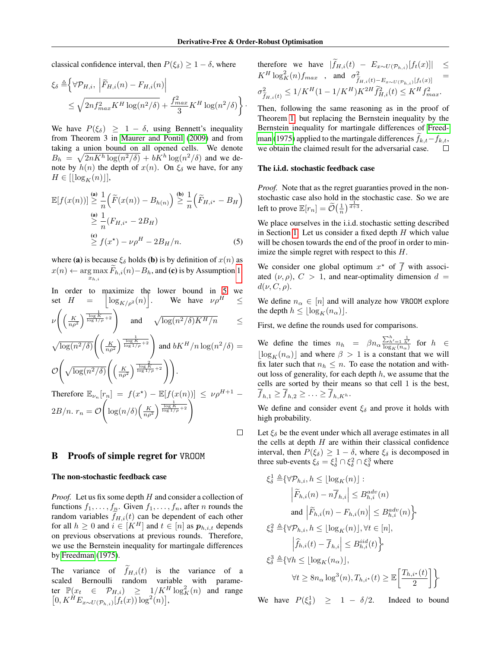classical confidence interval, then  $P(\xi_{\delta}) \geq 1 - \delta$ , where

$$
\xi_{\delta} \triangleq \left\{ \forall \mathcal{P}_{H,i}, \left| \widetilde{F}_{H,i}(n) - F_{H,i}(n) \right| \right\} \n\leq \sqrt{2n f_{max}^2 K^H \log(n^2/\delta)} + \frac{f_{max}^2}{3} K^H \log(n^2/\delta) \right\}.
$$

We have  $P(\xi_{\delta}) \geq 1 - \delta$ , using Bennett's inequality from Theorem 3 in Maurer and Pontil (2009) and from taking a union bound on all opened cells. We denote  $B_h = \sqrt{2nK^h \log(n^2/\delta)} + bK^h \log(n^2/\delta)$  and we denote by  $h(n)$  the depth of  $x(n)$ . On  $\xi_{\delta}$  we have, for any  $H \in [\lfloor \log_K(n) \rfloor],$ 

$$
\mathbb{E}[f(x(n))] \stackrel{\text{(a)}}{\geq} \frac{1}{n} \left( \widetilde{F}(x(n)) - B_{h(n)} \right) \stackrel{\text{(b)}}{\geq} \frac{1}{n} \left( \widetilde{F}_{H,i^*} - B_H \right)
$$
\n
$$
\stackrel{\text{(a)}}{\geq} \frac{1}{n} \left( F_{H,i^*} - 2B_H \right)
$$
\n
$$
\stackrel{\text{(c)}}{\geq} f(x^*) - \nu \rho^H - 2B_H/n. \tag{5}
$$

where (a) is because  $\xi_{\delta}$  holds (b) is by definition of  $x(n)$  as  $x(n) \leftarrow \arg\max_{x_{h,i}} F_{h,i}(n) - B_h$ , and (c) is by Assumption 1.  $x_{h,i}$ 

In order to maximize the lower bound in 5 we  
\nset 
$$
H = \left\lfloor \log_{K/\rho^2}(n) \right\rfloor
$$
. We have  $\nu \rho^H \le$   
\n
$$
\nu \left( \left( \frac{K}{n \rho^2} \right)^{\frac{1}{\log K} + 2} \right) \text{ and } \sqrt{\log(n^2/\delta) K^H/n} \le
$$
\n
$$
\sqrt{\log(n^2/\delta)} \left( \left( \frac{K}{n \rho^2} \right)^{\frac{1}{\log K} + 2} \right) \text{ and } bK^H/n \log(n^2/\delta) =
$$
\n
$$
\mathcal{O}\left( \sqrt{\log(n^2/\delta)} \left( \left( \frac{K}{n \rho^2} \right)^{\frac{2}{\log K} + 2} \right) \right).
$$
\nTherefore  $\mathbb{E}_{\nu_n}[r_n] = f(x^*) - \mathbb{E}[f(x(n))] \le \nu \rho^{H+1} -$ 

$$
2B/n. r_n = \mathcal{O}\left(\log(n/\delta)\left(\frac{K}{n\rho^2}\right)^{\frac{1}{\log K}\left(\frac{1}{\log 1/\rho} + 2\right)}\right)
$$

# B Proofs of simple regret for VROOM

#### The non-stochastic feedback case

*Proof.* Let us fix some depth H and consider a collection of functions  $f_1, \ldots, f_n$ . Given  $f_1, \ldots, f_n$ , after *n* rounds the random variables  $f_{H,i}(t)$  can be dependent of each other for all  $h \geq 0$  and  $i \in [K^H]$  and  $t \in [n]$  as  $p_{h,i,t}$  depends on previous observations at previous rounds. Therefore, we use the Bernstein inequality for martingale differences by Freedman (1975).

The variance of  $\widetilde{f}_{H,i}(t)$  is the variance of a scaled Bernoulli random variable with parameter  $\mathbb{P}(x_t \in \mathcal{P}_{H,i}) \geq \frac{1}{K}$   $\log_K^2(n)$  and range  $[0, K^{\hat{H}} E_{x \sim U(\mathcal{P}_{h,i})}[\hat{f}_t(x)] \log^2(n)],$ 

therefore we have 
$$
|\hat{f}_{H,i}(t) - E_{x \sim U(\mathcal{P}_{h,i})}[f_t(x)]| \leq K^H \log_K^2(n) f_{max}
$$
, and  $\sigma_{\tilde{f}_{H,i}(t) - E_{x \sim U(\mathcal{P}_{h,i})}[f_t(x)] = \sigma_{\tilde{f}_{H,i}(t)}^2 \leq 1/K^H (1 - 1/K^H) K^{2H} \tilde{f}_{H,i}^2(t) \leq K^H f_{max}^2$ .

Then, following the same reasoning as in the proof of Theorem 1, but replacing the Bernstein inequality by the Bernstein inequality for martingale differences of Freedman (1975) applied to the martingale differences  $f_{k,t}-f_{k,t}$ , we obtain the claimed result for the adversarial case.

#### The i.i.d. stochastic feedback case

*Proof.* Note that as the regret guaranties proved in the nonstochastic case also hold in the stochastic case. So we are left to prove  $\mathbb{E}[r_n] = \widetilde{\mathcal{O}}\left(\frac{1}{n}\right)^{\frac{1}{d+3}}$ .

We place ourselves in the i.i.d. stochastic setting described in Section 1. Let us consider a fixed depth  $H$  which value will be chosen towards the end of the proof in order to minimize the simple regret with respect to this H.

We consider one global optimum  $x^*$  of  $\overline{f}$  with associated  $(\nu, \rho)$ ,  $C > 1$ , and near-optimality dimension  $d =$  $d(\nu, C, \rho).$ 

We define  $n_{\alpha} \in [n]$  and will analyze how VROOM explore the depth  $h \leq |\log_K(n_\alpha)|$ .

First, we define the rounds used for comparisons.

We define the times  $n_h = \beta n_\alpha \frac{\sum_{h'=1}^{h} \frac{1}{h'}}{\log_K (n_\alpha)}$  for  $h \in$  $\lfloor \log_K(n_\alpha) \rfloor$  and where  $\beta > 1$  is a constant that we will fix later such that  $n_h \leq n$ . To ease the notation and without loss of generality, for each depth  $h$ , we assume that the cells are sorted by their means so that cell 1 is the best,  $f_{h,1} \geq f_{h,2} \geq \ldots \geq f_{h,K^h}.$ 

We define and consider event  $\xi_{\delta}$  and prove it holds with high probability.

Let  $\xi_{\delta}$  be the event under which all average estimates in all the cells at depth  $H$  are within their classical confidence interval, then  $P(\xi_{\delta}) \geq 1 - \delta$ , where  $\xi_{\delta}$  is decomposed in three sub-events  $\xi_{\delta} = \xi_{\delta}^1 \cap \xi_{\delta}^2 \cap \xi_{\delta}^3$  where

$$
\xi_{\delta}^1 \triangleq \{ \forall \mathcal{P}_{h,i}, h \leq \lfloor \log_K(n) \rfloor :
$$
\n
$$
\left| \widetilde{F}_{h,i}(n) - n \overline{f}_{h,i} \right| \leq B_{h,i}^{adv}(n)
$$
\nand\n
$$
\left| \widetilde{F}_{h,i}(n) - F_{h,i}(n) \right| \leq B_{h,i}^{adv}(n) \}
$$
\n
$$
\xi_{\delta}^2 \triangleq \{ \forall \mathcal{P}_{h,i}, h \leq \lfloor \log_K(n) \rfloor, \forall t \in [n],
$$
\n
$$
\left| \widehat{f}_{h,i}(t) - \overline{f}_{h,i} \right| \leq B_{h,i}^{iid}(t) \}
$$
\n
$$
\xi_{\delta}^3 \triangleq \{ \forall h \leq \lfloor \log_K(n_\alpha) \rfloor,
$$
\n
$$
\forall t \geq 8n_\alpha \log^3(n), T_{h,i^\star}(t) \geq \mathbb{E} \left[ \frac{T_{h,i^\star}(t)}{2} \right] \}
$$

We have  $P(\xi_{\delta}^1) \geq 1 - \delta/2$ . Indeed to bound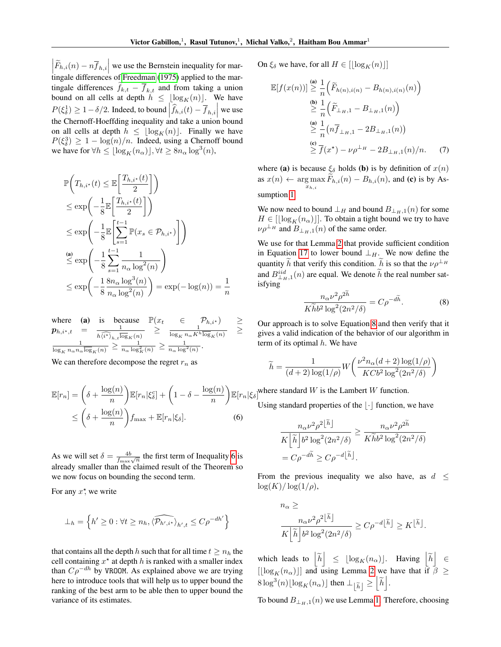$\left| \widetilde{F}_{h,i}(n) - n \overline{f}_{h,i} \right|$  we use the Bernstein inequality for martingale differences of Freedman (1975) applied to the martingale differences  $f_{k,t} - \overline{f}_{k,t}$  and from taking a union bound on all cells at depth  $h \leq \lfloor \log_K(n) \rfloor$ . We have  $P(\xi_{\delta}^1) \geq 1 - \delta/2$ . Indeed, to bound  $\left| \widehat{f}_{h,i}(t) - \overline{f}_{h,i} \right|$  we use the Chernoff-Hoeffding inequality and take a union bound on all cells at depth  $h \leq |\log_K(n)|$ . Finally we have  $P(\xi_{\delta}^3) \geq 1 - \log(n)/n$ . Indeed, using a Chernoff bound we have for  $\forall h \leq \lfloor \log_K(n_\alpha) \rfloor, \forall t \geq 8n_\alpha \log^3(n)$ ,

$$
\mathbb{P}\left(T_{h,i^*}(t) \leq \mathbb{E}\left[\frac{T_{h,i^*}(t)}{2}\right]\right)
$$
\n
$$
\leq \exp\left(-\frac{1}{8}\mathbb{E}\left[\frac{T_{h,i^*}(t)}{2}\right]\right)
$$
\n
$$
\leq \exp\left(-\frac{1}{8}\mathbb{E}\left[\sum_{s=1}^{t-1} \mathbb{P}(x_s \in \mathcal{P}_{h,i^*})\right]\right)
$$
\n(a)\n
$$
\leq \exp\left(-\frac{1}{8}\sum_{s=1}^{t-1} \frac{1}{n_{\alpha} \log^2(n)}\right)
$$
\n
$$
\leq \exp\left(-\frac{1}{8} \frac{8n_{\alpha} \log^3(n)}{n_{\alpha} \log^2(n)}\right) = \exp(-\log(n)) = \frac{1}{n}
$$

where (a) is because  $\mathbb{P}(x_t \in \mathcal{P}_{h,i^*}) \geq$  $\boldsymbol{p}_{h,i^\star,t}$  =  $\frac{1}{\sqrt{1-\frac{1}{h}}}\$  $\frac{1}{h\widehat{\langle i^{\star}\rangle}_{h,t}\overline{\log}_K(n)}$  >  $\frac{1}{\log_K n_{\alpha}K^{\prime}}$  $\frac{1}{\log_K n_\alpha K^h \overline{\log}_K(n)}$  > 1  $\frac{1}{\log_K n_\alpha n_\alpha \overline{\log}_K(n)} \ge \frac{1}{n_\alpha \log^2_K(n)} \ge \frac{1}{n_\alpha \log^2(n)}.$ 

We can therefore decompose the regret  $r_n$  as

$$
\mathbb{E}[r_n] = \left(\delta + \frac{\log(n)}{n}\right) \mathbb{E}[r_n|\xi_\delta^c] + \left(1 - \delta - \frac{\log(n)}{n}\right) \mathbb{E}[r_n|
$$
  

$$
\leq \left(\delta + \frac{\log(n)}{n}\right) f_{\max} + \mathbb{E}[r_n|\xi_\delta].
$$
 (6)

As we will set  $\delta = \frac{4b}{f_{\text{max}}\sqrt{n}}$  the first term of Inequality 6 is already smaller than the claimed result of the Theorem so we now focus on bounding the second term.

For any  $x^*$ , we write

$$
\perp_h = \left\{ h' \geq 0 : \forall t \geq n_h, \langle \widehat{\mathcal{P}_{h',i^*}} \rangle_{h',t} \leq C \rho^{-dh'} \right\}
$$

that contains all the depth h such that for all time  $t \geq n_h$  the cell containing  $x^*$  at depth h is ranked with a smaller index than  $C\rho^{-dh}$  by VROOM. As explained above we are trying here to introduce tools that will help us to upper bound the ranking of the best arm to be able then to upper bound the variance of its estimates.

On  $\xi_{\delta}$  we have, for all  $H \in ||\log_K(n)||$ 

$$
\mathbb{E}[f(x(n))] \stackrel{\text{(a)}}{\geq} \frac{1}{n} \left( \widetilde{F}_{h(n),i(n)} - B_{h(n),i(n)}(n) \right)
$$
  
\n
$$
\stackrel{\text{(b)}}{\geq} \frac{1}{n} \left( \widetilde{F}_{\perp_{H},1} - B_{\perp_{H},1}(n) \right)
$$
  
\n
$$
\stackrel{\text{(a)}}{\geq} \frac{1}{n} \left( n \overline{f}_{\perp_{H},1} - 2B_{\perp_{H},1}(n) \right)
$$
  
\n
$$
\stackrel{\text{(c)}}{\geq} \overline{f}(x^*) - \nu \rho^{\perp_{H}} - 2B_{\perp_{H},1}(n) / n. \tag{7}
$$

where (a) is because  $\xi_{\delta}$  holds (b) is by definition of  $x(n)$ as  $x(n) \leftarrow \arg \max F_{h,i}(n) - B_{h,i}(n)$ , and (c) is by As $x_{h,i}$ sumption 1.

We now need to bound  $\perp_H$  and bound  $B_{\perp_H,1}(n)$  for some  $H \in [\lfloor \log_K(n_\alpha) \rfloor]$ . To obtain a tight bound we try to have  $\nu\rho^{\perp_H}$  and  $B_{\perp_H,1}(n)$  of the same order.

We use for that Lemma 2 that provide sufficient condition in Equation 17 to lower bound  $\perp$ <sub>H</sub>. We now define the quantity h that verify this condition. h is so that the  $\nu\rho^{\perp_H}$ and  $B_{\perp H,1}^{iid}(n)$  are equal. We denote  $\tilde{h}$  the real number satisfying

$$
\frac{n_{\alpha}\nu^2\rho^{2h}}{K\widetilde{h}b^2\log^2(2n^2/\delta)} = C\rho^{-d\widetilde{h}}.\tag{8}
$$

Our approach is to solve Equation 8 and then verify that it gives a valid indication of the behavior of our algorithm in term of its optimal  $h$ . We have

$$
\widetilde{h} = \frac{1}{(d+2)\log(1/\rho)} W\left(\frac{\nu^2 n_{\alpha}(d+2)\log(1/\rho)}{KCb^2\log^2(2n^2/\delta)}\right)
$$

 $\mathbb{E}[r_n|\xi_\delta]$ <sup>where</sup> standard W is the Lambert W function.

Using standard properties of the  $\lvert \cdot \rvert$  function, we have

$$
\frac{n_{\alpha} \nu^2 \rho^{2[\tilde{h}]} }{K[\tilde{h}]\,b^2 \log^2(2n^2/\delta)} \ge \frac{n_{\alpha} \nu^2 \rho^{2\tilde{h}}}{K\tilde{h}b^2 \log^2(2n^2/\delta)}
$$
  
= 
$$
C\rho^{-d\tilde{h}} \ge C\rho^{-d[\tilde{h}]}.
$$

From the previous inequality we also have, as  $d \leq$  $\log(K)/\log(1/\rho),$ 

$$
n_{\alpha} \ge
$$
  

$$
\frac{n_{\alpha} \nu^2 \rho^2 [\tilde{h}]}{K [\tilde{h}] b^2 \log^2(2n^2/\delta)} \ge C \rho^{-d} [\tilde{h}] \ge K^{[\tilde{h}]}.
$$

which leads to  $\left[\begin{matrix} \widetilde{h} \end{matrix}\right] \leq \lfloor \log_K(n_\alpha) \rfloor$ . Having  $\left[\begin{matrix} \widetilde{h} \end{matrix}\right] \in$  $\left[\lfloor \log_K(n_\alpha) \rfloor \right]$  and using Lemma 2 we have that if  $\beta \geq$  $8\log^3(n)\lfloor \log_K(n_\alpha)\rfloor$  then  $\perp_{\lfloor \widetilde{h}\rfloor} \geq \lfloor \widetilde{h}\rfloor$ .

To bound  $B_{\perp_H,1}(n)$  we use Lemma 1. Therefore, choosing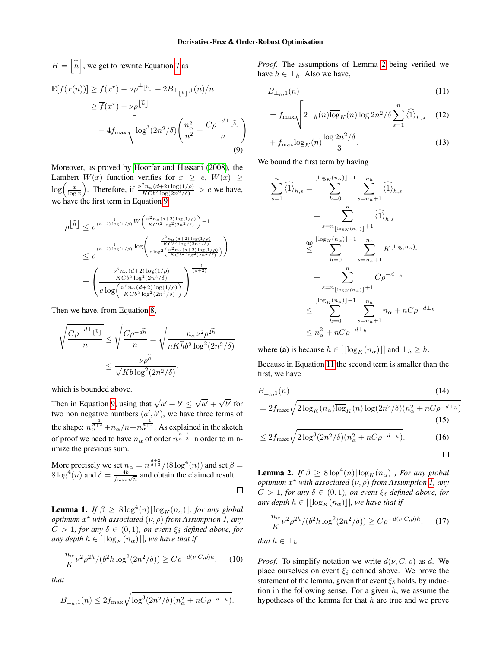$\setminus$ 

$$
H = \left[\tilde{h}\right], \text{ we get to rewrite Equation 7 as}
$$
  
\n
$$
\mathbb{E}[f(x(n))] \ge \overline{f}(x^*) - \nu \rho^{\perp}[\tilde{h}] - 2B_{\perp}(\tilde{h}) \cdot (n)/n
$$
  
\n
$$
\ge \overline{f}(x^*) - \nu \rho^{[\tilde{h}]}
$$
  
\n
$$
-4f_{\text{max}} \sqrt{\log^3(2n^2/\delta) \left(\frac{n_{\alpha}^2}{n^2} + \frac{C\rho^{-d\perp}[\tilde{h}])}{n}\right)}
$$
  
\n(9)

Moreover, as proved by Hoorfar and Hassani (2008), the Lambert  $W(x)$  function verifies for  $x \ge e, W(x) \ge$  $\log\left(\frac{x}{\log x}\right)$ . Therefore, if  $\frac{\nu^2 n_\alpha (d+2) \log(1/\rho)}{KCb^2 \log(2n^2/\delta)} > e$  we have, we have the first term in Equation 9

$$
\rho^{\left[\tilde{h}\right]} \leq \rho^{\frac{1}{(d+2)\log(1/\rho)} W\left(\frac{\nu^2 n_{\alpha}(d+2)\log(1/\rho)}{KCb^2\log^2(2n^2/\delta)}\right) - 1}
$$
\n
$$
\leq \rho^{\frac{1}{(d+2)\log(1/\rho)}} \log \left(\frac{\frac{\nu^2 n_{\alpha}(d+2)\log(1/\rho)}{KCb^2\log^2(2n^2/\delta)}}{\exp^2\left(\frac{\nu^2 n_{\alpha}(d+2)\log(1/\rho)}{KCb^2\log^2(2n^2/\delta)}\right)}\right)
$$
\n
$$
= \left(\frac{\frac{\nu^2 n_{\alpha}(d+2)\log(1/\rho)}{KCb^2\log^2(2n^2/\delta)}}{e\log\left(\frac{\nu^2 n_{\alpha}(d+2)\log(1/\rho)}{KCb^2\log^2(2n^2/\delta)}\right)}\right)^{\frac{-1}{(d+2)}}
$$

Then we have, from Equation 8,

 $T$ 

$$
\sqrt{\frac{C\rho^{-d\perp_{\lfloor \tilde{h}\rfloor}}}{n}} \leq \sqrt{\frac{C\rho^{-d\tilde{h}}}{n}} = \sqrt{\frac{n_{\alpha}\nu^2\rho^{2\tilde{h}}}{nK\tilde{h}b^2\log^2(2n^2/\delta)}}
$$

$$
\leq \frac{\nu\rho^{\tilde{h}}}{\sqrt{K}b\log^2(2n^2/\delta)},
$$

which is bounded above.

Then in Equation 9, using that  $\sqrt{a^{\prime} + b^{\prime}} \leq \sqrt{b^{\prime}}$  $\overline{a'} + \sqrt{ }$  $\overline{b'}$  for two non negative numbers  $(a', b')$ , we have three terms of the shape:  $n_{\alpha}^{\frac{-1}{d+2}} + n_{\alpha}/n + n_{\alpha}^{\frac{-1}{d+2}}$ . As explained in the sketch of proof we need to have  $n_{\alpha}$  of order  $n^{\frac{d+2}{d+3}}$  in order to minimize the previous sum.

More precisely we set  $n_{\alpha} = n^{\frac{d+2}{d+3}}/(8 \log^4(n))$  and set  $\beta =$  $8 \log^4(n)$  and  $\delta = \frac{4b}{f_{\text{max}}\sqrt{n}}$  and obtain the claimed result.  $\Box$ 

**Lemma 1.** *If*  $\beta \ge 8 \log^4(n) \lfloor \log_K(n_\alpha) \rfloor$ , for any global *optimum* x ? *with associated* (ν, ρ) *from Assumption 1, any*  $C > 1$ *, for any*  $\delta \in (0, 1)$ *, on event*  $\xi_{\delta}$  *defined above, for any depth*  $h \in [[\log_K(n_\alpha)]]$ *, we have that if* 

$$
\frac{n_{\alpha}}{K} \nu^2 \rho^{2h} / (b^2 h \log^2(2n^2/\delta)) \ge C \rho^{-d(\nu, C, \rho)h}, \quad (10)
$$

*that*

$$
B_{\perp_h,1}(n) \le 2f_{\max} \sqrt{\log^3(2n^2/\delta)(n_{\alpha}^2 + nC\rho^{-d\perp_h})}.
$$

*Proof.* The assumptions of Lemma 2 being verified we have  $h \in \perp_h$ . Also we have,

$$
B_{\perp_h,1}(n) \tag{11}
$$

$$
= f_{\max} \sqrt{2 \log_k(n) \log 2n^2/\delta \sum_{s=1}^n \widehat{\langle 1 \rangle}_{h,s}} \quad (12)
$$

$$
+ f_{\max} \overline{\log_K}(n) \frac{\log 2n^2/\delta}{3}.
$$
 (13)

We bound the first term by having

$$
\sum_{s=1}^{n} \widehat{\langle 1 \rangle}_{h,s} = \sum_{h=0}^{\lfloor \log_K(n_{\alpha}) \rfloor - 1} \sum_{s=n_h+1}^{n_h} \widehat{\langle 1 \rangle}_{h,s}
$$
  
+ 
$$
\sum_{s=n_{\lfloor \log_K(n_{\alpha}) \rfloor}+1}^{n} \widehat{\langle 1 \rangle}_{h,s}
$$
  

$$
\leq \sum_{h=0}^{\lfloor \log_K(n_{\alpha}) \rfloor - 1} \sum_{s=n_h+1}^{n_h} K^{\lfloor \log(n_{\alpha}) \rfloor}
$$
  
+ 
$$
\sum_{s=n_{\lfloor \log_K(n_{\alpha}) \rfloor}+1}^{n} C\rho^{-d\perp_h}
$$
  

$$
\leq \sum_{h=0}^{n} \sum_{s=n_h+1}^{n} n_{\alpha} + nC\rho^{-d\perp_h}
$$
  

$$
\leq n_{\alpha}^2 + nC\rho^{-d\perp_h}
$$

where (a) is because  $h \in [\lfloor \log_K(n_\alpha) \rfloor]$  and  $\perp_h \geq h$ .

Because in Equation 11 the second term is smaller than the first, we have

$$
B_{\perp_h,1}(n) \qquad (14)
$$
  
=  $2f_{\text{max}}\sqrt{2\log_K(n_\alpha)\log_K(n)\log(2n^2/\delta)(n_\alpha^2 + nC\rho^{-d\perp_h})}$   
(15)

$$
\leq 2f_{\max}\sqrt{2\log^3(2n^2/\delta)(n_\alpha^2 + nC\rho^{-d\perp_h})}.\tag{16}
$$

$$
\Box
$$

**Lemma 2.** If  $\beta \ge 8 \log^4(n) \lfloor \log_K(n_\alpha) \rfloor$ , For any global *optimum* x ? *with associated* (ν, ρ) *from Assumption 1, any*  $C > 1$ *, for any*  $\delta \in (0, 1)$ *, on event*  $\xi_{\delta}$  *defined above, for any depth*  $h \in [[\log_K(n_\alpha)]]$ *, we have that if* 

$$
\frac{n_{\alpha}}{K} \nu^2 \rho^{2h} / (b^2 h \log^2(2n^2/\delta)) \ge C \rho^{-d(\nu, C, \rho)h}, \quad (17)
$$

*that*  $h \in \perp_h$ *.* 

*Proof.* To simplify notation we write  $d(\nu, C, \rho)$  as d. We place ourselves on event  $\xi_{\delta}$  defined above. We prove the statement of the lemma, given that event  $\xi_{\delta}$  holds, by induction in the following sense. For a given  $h$ , we assume the hypotheses of the lemma for that  $h$  are true and we prove